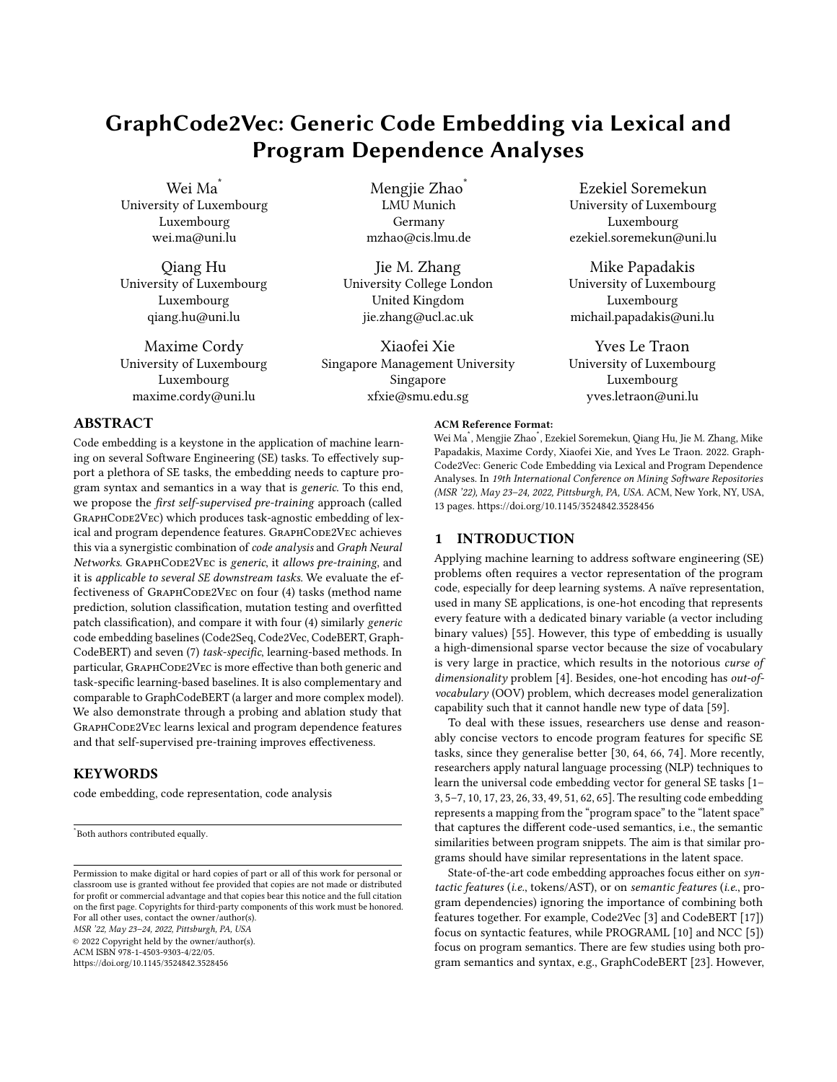# GraphCode2Vec: Generic Code Embedding via Lexical and Program Dependence Analyses

Wei Ma<sup>\*</sup> University of Luxembourg Luxembourg wei.ma@uni.lu

Qiang Hu University of Luxembourg Luxembourg qiang.hu@uni.lu

Maxime Cordy University of Luxembourg Luxembourg maxime.cordy@uni.lu

Mengjie Zhao<sup>\*</sup> LMU Munich Germany mzhao@cis.lmu.de

Jie M. Zhang University College London United Kingdom jie.zhang@ucl.ac.uk

Xiaofei Xie Singapore Management University Singapore xfxie@smu.edu.sg

Ezekiel Soremekun University of Luxembourg Luxembourg ezekiel.soremekun@uni.lu

Mike Papadakis University of Luxembourg Luxembourg michail.papadakis@uni.lu

Yves Le Traon University of Luxembourg Luxembourg yves.letraon@uni.lu

# ABSTRACT

Code embedding is a keystone in the application of machine learning on several Software Engineering (SE) tasks. To effectively support a plethora of SE tasks, the embedding needs to capture program syntax and semantics in a way that is generic. To this end, we propose the first self-supervised pre-training approach (called GRAPHCODE2VEC) which produces task-agnostic embedding of lexical and program dependence features. GRAPHCODE2VEC achieves this via a synergistic combination of code analysis and Graph Neural Networks. GRAPHCODE2VEC is generic, it allows pre-training, and it is applicable to several SE downstream tasks. We evaluate the effectiveness of GRAPHCODE2VEC on four (4) tasks (method name prediction, solution classification, mutation testing and overfitted patch classification), and compare it with four (4) similarly generic code embedding baselines (Code2Seq, Code2Vec, CodeBERT, Graph-CodeBERT) and seven (7) task-specific, learning-based methods. In particular, GRAPHCODE2VEC is more effective than both generic and task-specific learning-based baselines. It is also complementary and comparable to GraphCodeBERT (a larger and more complex model). We also demonstrate through a probing and ablation study that GRAPHCODE2VEC learns lexical and program dependence features and that self-supervised pre-training improves effectiveness.

# **KEYWORDS**

code embedding, code representation, code analysis

© 2022 Copyright held by the owner/author(s). ACM ISBN 978-1-4503-9303-4/22/05.

<https://doi.org/10.1145/3524842.3528456>

Wei Ma\* , Mengjie Zhao\* , Ezekiel Soremekun, Qiang Hu, Jie M. Zhang, Mike Papadakis, Maxime Cordy, Xiaofei Xie, and Yves Le Traon. 2022. Graph-Code2Vec: Generic Code Embedding via Lexical and Program Dependence Analyses. In 19th International Conference on Mining Software Repositories (MSR '22), May 23–24, 2022, Pittsburgh, PA, USA. ACM, New York, NY, USA, [13](#page-12-0) pages.<https://doi.org/10.1145/3524842.3528456>

### 1 INTRODUCTION

ACM Reference Format:

Applying machine learning to address software engineering (SE) problems often requires a vector representation of the program code, especially for deep learning systems. A naïve representation, used in many SE applications, is one-hot encoding that represents every feature with a dedicated binary variable (a vector including binary values) [\[55\]](#page-12-1). However, this type of embedding is usually a high-dimensional sparse vector because the size of vocabulary is very large in practice, which results in the notorious curse of dimensionality problem [\[4\]](#page-11-0). Besides, one-hot encoding has out-ofvocabulary (OOV) problem, which decreases model generalization capability such that it cannot handle new type of data [\[59\]](#page-12-2).

To deal with these issues, researchers use dense and reasonably concise vectors to encode program features for specific SE tasks, since they generalise better [\[30,](#page-11-1) [64,](#page-12-3) [66,](#page-12-4) [74\]](#page-12-5). More recently, researchers apply natural language processing (NLP) techniques to learn the universal code embedding vector for general SE tasks [\[1–](#page-11-2) [3,](#page-11-3) [5–](#page-11-4)[7,](#page-11-5) [10,](#page-11-6) [17,](#page-11-7) [23,](#page-11-8) [26,](#page-11-9) [33,](#page-11-10) [49,](#page-12-6) [51,](#page-12-7) [62,](#page-12-8) [65\]](#page-12-9). The resulting code embedding represents a mapping from the "program space" to the "latent space" that captures the different code-used semantics, i.e., the semantic similarities between program snippets. The aim is that similar programs should have similar representations in the latent space.

State-of-the-art code embedding approaches focus either on syntactic features (i.e., tokens/AST), or on semantic features (i.e., program dependencies) ignoring the importance of combining both features together. For example, Code2Vec [\[3\]](#page-11-3) and CodeBERT [\[17\]](#page-11-7)) focus on syntactic features, while PROGRAML [\[10\]](#page-11-6) and NCC [\[5\]](#page-11-4)) focus on program semantics. There are few studies using both program semantics and syntax, e.g., GraphCodeBERT [\[23\]](#page-11-8). However,

<sup>\*</sup>Both authors contributed equally.

Permission to make digital or hard copies of part or all of this work for personal or classroom use is granted without fee provided that copies are not made or distributed for profit or commercial advantage and that copies bear this notice and the full citation on the first page. Copyrights for third-party components of this work must be honored. For all other uses, contact the owner/author(s). MSR '22, May 23–24, 2022, Pittsburgh, PA, USA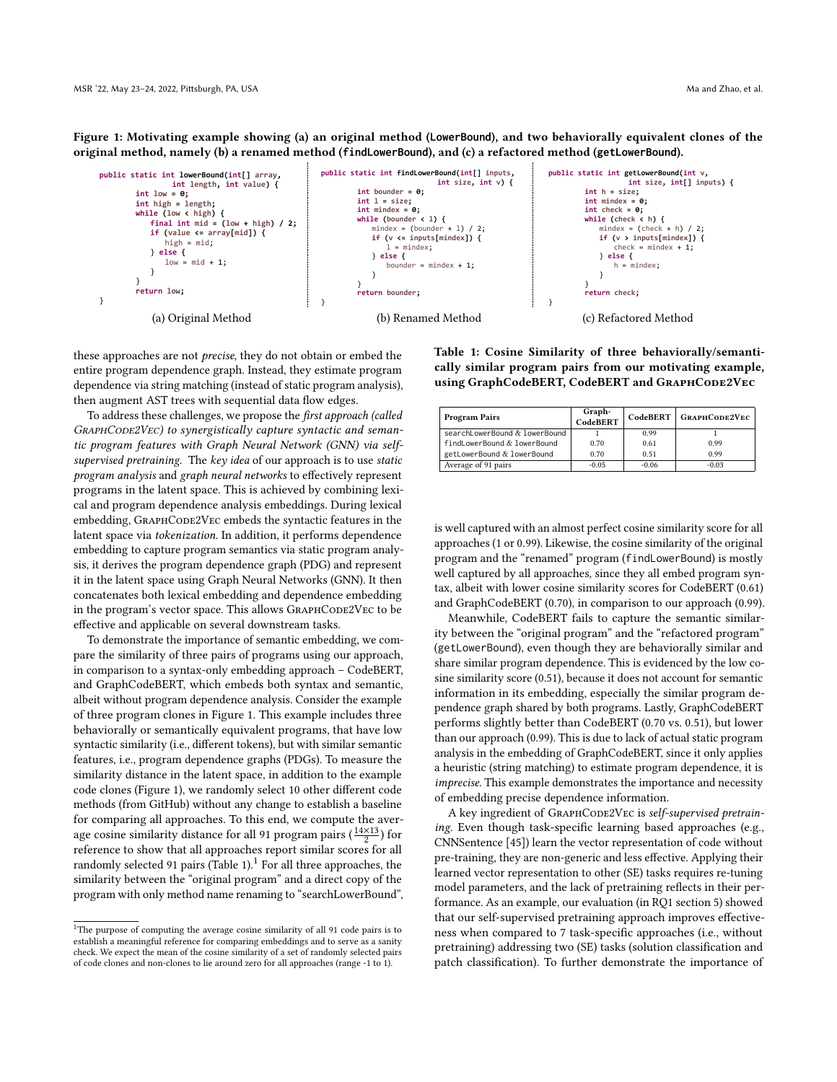<span id="page-1-0"></span>Figure 1: Motivating example showing (a) an original method (**LowerBound**), and two behaviorally equivalent clones of the original method, namely (b) a renamed method (**findLowerBound**), and (c) a refactored method (**getLowerBound**).



these approaches are not precise, they do not obtain or embed the entire program dependence graph. Instead, they estimate program dependence via string matching (instead of static program analysis), then augment AST trees with sequential data flow edges.

To address these challenges, we propose the first approach (called GRAPHCODE2VEC) to synergistically capture syntactic and semantic program features with Graph Neural Network (GNN) via selfsupervised pretraining. The key idea of our approach is to use static program analysis and graph neural networks to effectively represent programs in the latent space. This is achieved by combining lexical and program dependence analysis embeddings. During lexical embedding, GRAPHCODE2VEC embeds the syntactic features in the latent space via tokenization. In addition, it performs dependence embedding to capture program semantics via static program analysis, it derives the program dependence graph (PDG) and represent it in the latent space using Graph Neural Networks (GNN). It then concatenates both lexical embedding and dependence embedding in the program's vector space. This allows GRAPHCODE2VEC to be effective and applicable on several downstream tasks.

To demonstrate the importance of semantic embedding, we compare the similarity of three pairs of programs using our approach, in comparison to a syntax-only embedding approach – CodeBERT, and GraphCodeBERT, which embeds both syntax and semantic, albeit without program dependence analysis. Consider the example of three program clones in Figure [1.](#page-1-0) This example includes three behaviorally or semantically equivalent programs, that have low syntactic similarity (i.e., different tokens), but with similar semantic features, i.e., program dependence graphs (PDGs). To measure the similarity distance in the latent space, in addition to the example code clones (Figure [1\)](#page-1-0), we randomly select 10 other different code methods (from GitHub) without any change to establish a baseline for comparing all approaches. To this end, we compute the average cosine similarity distance for all 91 program pairs  $(\frac{14\times13}{2})$  for reference to show that all approaches report similar scores for all randomly selected 91 pairs (Table [1\)](#page-1-1).<sup>[1](#page-1-2)</sup> For all three approaches, the similarity between the "original program" and a direct copy of the program with only method name renaming to "searchLowerBound", <span id="page-1-1"></span>Table 1: Cosine Similarity of three behaviorally/semantically similar program pairs from our motivating example, using GraphCodeBERT, CodeBERT and GRAPHCODE2VEC

| <b>Program Pairs</b>          | Graph-<br>CodeBERT | CodeBERT | <b>GRAPHCODE2VEC</b> |
|-------------------------------|--------------------|----------|----------------------|
| searchLowerBound & lowerBound |                    | 0.99     |                      |
| findLowerBound & lowerBound   | 0.70               | 0.61     | 0.99                 |
| getLowerBound & lowerBound    | 0.70               | 0.51     | 0.99                 |
| Average of 91 pairs           | $-0.05$            | $-0.06$  | $-0.03$              |

is well captured with an almost perfect cosine similarity score for all approaches (1 or 0.99). Likewise, the cosine similarity of the original program and the "renamed" program (findLowerBound) is mostly well captured by all approaches, since they all embed program syntax, albeit with lower cosine similarity scores for CodeBERT (0.61) and GraphCodeBERT (0.70), in comparison to our approach (0.99).

Meanwhile, CodeBERT fails to capture the semantic similarity between the "original program" and the "refactored program" (getLowerBound), even though they are behaviorally similar and share similar program dependence. This is evidenced by the low cosine similarity score (0.51), because it does not account for semantic information in its embedding, especially the similar program dependence graph shared by both programs. Lastly, GraphCodeBERT performs slightly better than CodeBERT (0.70 vs. 0.51), but lower than our approach (0.99). This is due to lack of actual static program analysis in the embedding of GraphCodeBERT, since it only applies a heuristic (string matching) to estimate program dependence, it is imprecise. This example demonstrates the importance and necessity of embedding precise dependence information.

A key ingredient of GRAPHCODE2VEC is self-supervised pretraining. Even though task-specific learning based approaches (e.g., CNNSentence [\[45\]](#page-11-11)) learn the vector representation of code without pre-training, they are non-generic and less effective. Applying their learned vector representation to other (SE) tasks requires re-tuning model parameters, and the lack of pretraining reflects in their performance. As an example, our evaluation (in RQ1 [section 5\)](#page-7-0) showed that our self-supervised pretraining approach improves effectiveness when compared to 7 task-specific approaches (i.e., without pretraining) addressing two (SE) tasks (solution classification and patch classification). To further demonstrate the importance of

<span id="page-1-2"></span> $^1\mathrm{The}$  purpose of computing the average cosine similarity of all 91 code pairs is to establish a meaningful reference for comparing embeddings and to serve as a sanity check. We expect the mean of the cosine similarity of a set of randomly selected pairs of code clones and non-clones to lie around zero for all approaches (range -1 to 1).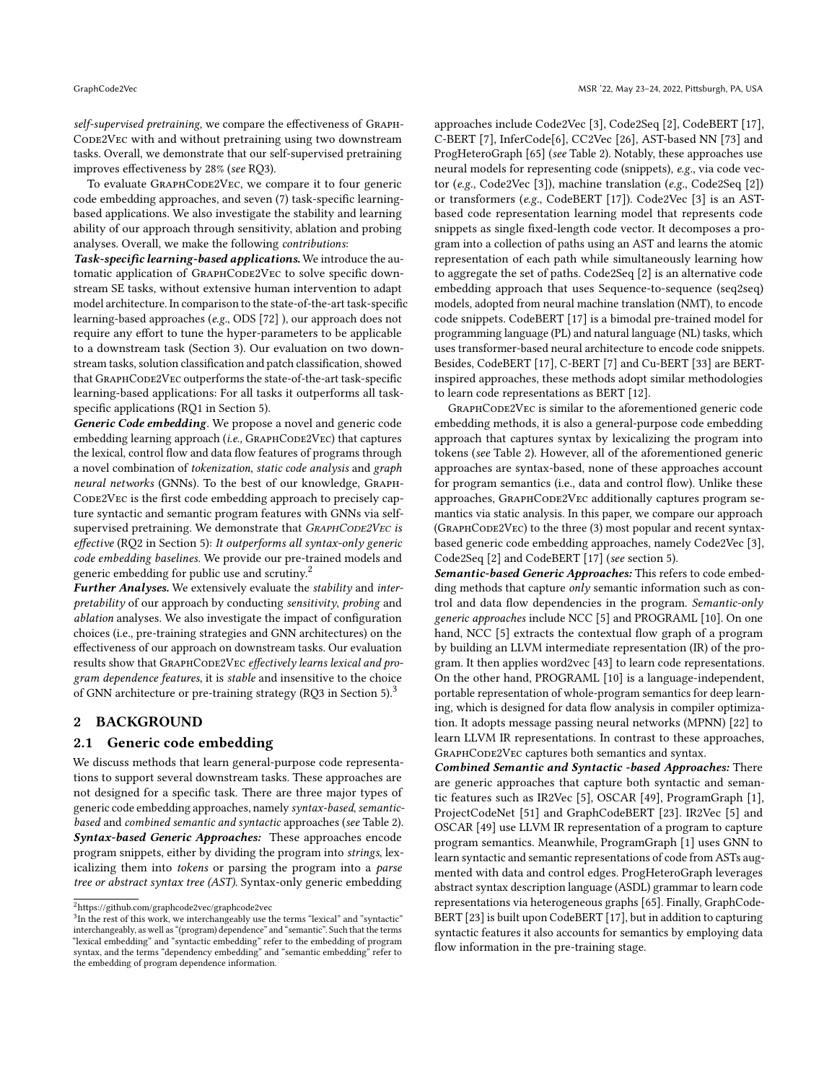self-supervised pretraining, we compare the effectiveness of Graph-CODE2VEC with and without pretraining using two downstream tasks. Overall, we demonstrate that our self-supervised pretraining improves effectiveness by 28% (see RQ3).

To evaluate GRAPHCODE2VEC, we compare it to four generic code embedding approaches, and seven (7) task-specific learningbased applications. We also investigate the stability and learning ability of our approach through sensitivity, ablation and probing analyses. Overall, we make the following contributions:

Task-specific learning-based applications. We introduce the automatic application of GRAPHCODE2VEC to solve specific downstream SE tasks, without extensive human intervention to adapt model architecture. In comparison to the state-of-the-art task-specific learning-based approaches (e.g., ODS [\[72\]](#page-12-10) ), our approach does not require any effort to tune the hyper-parameters to be applicable to a downstream task (Section [3\)](#page-3-0). Our evaluation on two downstream tasks, solution classification and patch classification, showed that GRAPHCODE2VEC outperforms the state-of-the-art task-specific learning-based applications: For all tasks it outperforms all taskspecific applications (RQ1 in Section [5\)](#page-7-0).

Generic Code embedding. We propose a novel and generic code embedding learning approach (i.e.,  $G$ RAPHCODE2VEC) that captures the lexical, control flow and data flow features of programs through a novel combination of tokenization, static code analysis and graph neural networks (GNNs). To the best of our knowledge, Graph-CODE2VEC is the first code embedding approach to precisely capture syntactic and semantic program features with GNNs via selfsupervised pretraining. We demonstrate that GRAPHCODE2VEC is effective (RQ2 in Section [5\)](#page-7-0): It outperforms all syntax-only generic code embedding baselines. We provide our pre-trained models and generic embedding for public use and scrutiny.[2](#page-2-0)

Further Analyses. We extensively evaluate the stability and interpretability of our approach by conducting sensitivity, probing and ablation analyses. We also investigate the impact of configuration choices (i.e., pre-training strategies and GNN architectures) on the effectiveness of our approach on downstream tasks. Our evaluation results show that GRAPHCODE2VEC effectively learns lexical and program dependence features, it is stable and insensitive to the choice of GNN architecture or pre-training strategy (RQ3 in Section [5\)](#page-7-0).[3](#page-2-1)

# 2 BACKGROUND

## 2.1 Generic code embedding

We discuss methods that learn general-purpose code representations to support several downstream tasks. These approaches are not designed for a specific task. There are three major types of generic code embedding approaches, namely syntax-based, semanticbased and combined semantic and syntactic approaches (see Table [2\)](#page-3-1). Syntax-based Generic Approaches: These approaches encode program snippets, either by dividing the program into strings, lexicalizing them into tokens or parsing the program into a parse tree or abstract syntax tree (AST). Syntax-only generic embedding

approaches include Code2Vec [\[3\]](#page-11-3), Code2Seq [\[2\]](#page-11-12), CodeBERT [\[17\]](#page-11-7), C-BERT [\[7\]](#page-11-5), InferCode[\[6\]](#page-11-13), CC2Vec [\[26\]](#page-11-9), AST-based NN [\[73\]](#page-12-11) and ProgHeteroGraph [\[65\]](#page-12-9) (see Table [2\)](#page-3-1). Notably, these approaches use neural models for representing code (snippets), e.g., via code vector (e.g., Code2Vec [\[3\]](#page-11-3)), machine translation (e.g., Code2Seq [\[2\]](#page-11-12)) or transformers (e.g., CodeBERT [\[17\]](#page-11-7)). Code2Vec [\[3\]](#page-11-3) is an ASTbased code representation learning model that represents code snippets as single fixed-length code vector. It decomposes a program into a collection of paths using an AST and learns the atomic representation of each path while simultaneously learning how to aggregate the set of paths. Code2Seq [\[2\]](#page-11-12) is an alternative code embedding approach that uses Sequence-to-sequence (seq2seq) models, adopted from neural machine translation (NMT), to encode code snippets. CodeBERT [\[17\]](#page-11-7) is a bimodal pre-trained model for programming language (PL) and natural language (NL) tasks, which uses transformer-based neural architecture to encode code snippets. Besides, CodeBERT [\[17\]](#page-11-7), C-BERT [\[7\]](#page-11-5) and Cu-BERT [\[33\]](#page-11-10) are BERTinspired approaches, these methods adopt similar methodologies to learn code representations as BERT [\[12\]](#page-11-14).

GRAPHCODE2VEC is similar to the aforementioned generic code embedding methods, it is also a general-purpose code embedding approach that captures syntax by lexicalizing the program into tokens (see Table [2\)](#page-3-1). However, all of the aforementioned generic approaches are syntax-based, none of these approaches account for program semantics (i.e., data and control flow). Unlike these approaches, GRAPHCODE2VEC additionally captures program semantics via static analysis. In this paper, we compare our approach  $(G$ RAPH $Co$ DE $2Vec$ ) to the three  $(3)$  most popular and recent syntaxbased generic code embedding approaches, namely Code2Vec [\[3\]](#page-11-3), Code2Seq [\[2\]](#page-11-12) and CodeBERT [\[17\]](#page-11-7) (see section [5\)](#page-7-0).

Semantic-based Generic Approaches: This refers to code embedding methods that capture  $only$  semantic information such as control and data flow dependencies in the program. Semantic-only generic approaches include NCC [\[5\]](#page-11-4) and PROGRAML [\[10\]](#page-11-6). On one hand, NCC [\[5\]](#page-11-4) extracts the contextual flow graph of a program by building an LLVM intermediate representation (IR) of the program. It then applies word2vec [\[43\]](#page-11-15) to learn code representations. On the other hand, PROGRAML [\[10\]](#page-11-6) is a language-independent, portable representation of whole-program semantics for deep learning, which is designed for data flow analysis in compiler optimization. It adopts message passing neural networks (MPNN) [\[22\]](#page-11-16) to learn LLVM IR representations. In contrast to these approaches, GRAPHCODE2VEC captures both semantics and syntax.

Combined Semantic and Syntactic -based Approaches: There are generic approaches that capture both syntactic and semantic features such as IR2Vec [\[5\]](#page-11-4), OSCAR [\[49\]](#page-12-6), ProgramGraph [\[1\]](#page-11-2), ProjectCodeNet [\[51\]](#page-12-7) and GraphCodeBERT [\[23\]](#page-11-8). IR2Vec [\[5\]](#page-11-4) and OSCAR [\[49\]](#page-12-6) use LLVM IR representation of a program to capture program semantics. Meanwhile, ProgramGraph [\[1\]](#page-11-2) uses GNN to learn syntactic and semantic representations of code from ASTs augmented with data and control edges. ProgHeteroGraph leverages abstract syntax description language (ASDL) grammar to learn code representations via heterogeneous graphs [\[65\]](#page-12-9). Finally, GraphCode-BERT [\[23\]](#page-11-8) is built upon CodeBERT [\[17\]](#page-11-7), but in addition to capturing syntactic features it also accounts for semantics by employing data flow information in the pre-training stage.

<span id="page-2-0"></span> $\rm ^2$ <https://github.com/graphcode2vec/graphcode2vec>

<span id="page-2-1"></span><sup>&</sup>lt;sup>3</sup>In the rest of this work, we interchangeably use the terms "lexical" and "syntactic" interchangeably, as well as "(program) dependence" and "semantic". Such that the terms "lexical embedding" and "syntactic embedding" refer to the embedding of program syntax, and the terms "dependency embedding" and "semantic embedding" refer to the embedding of program dependence information.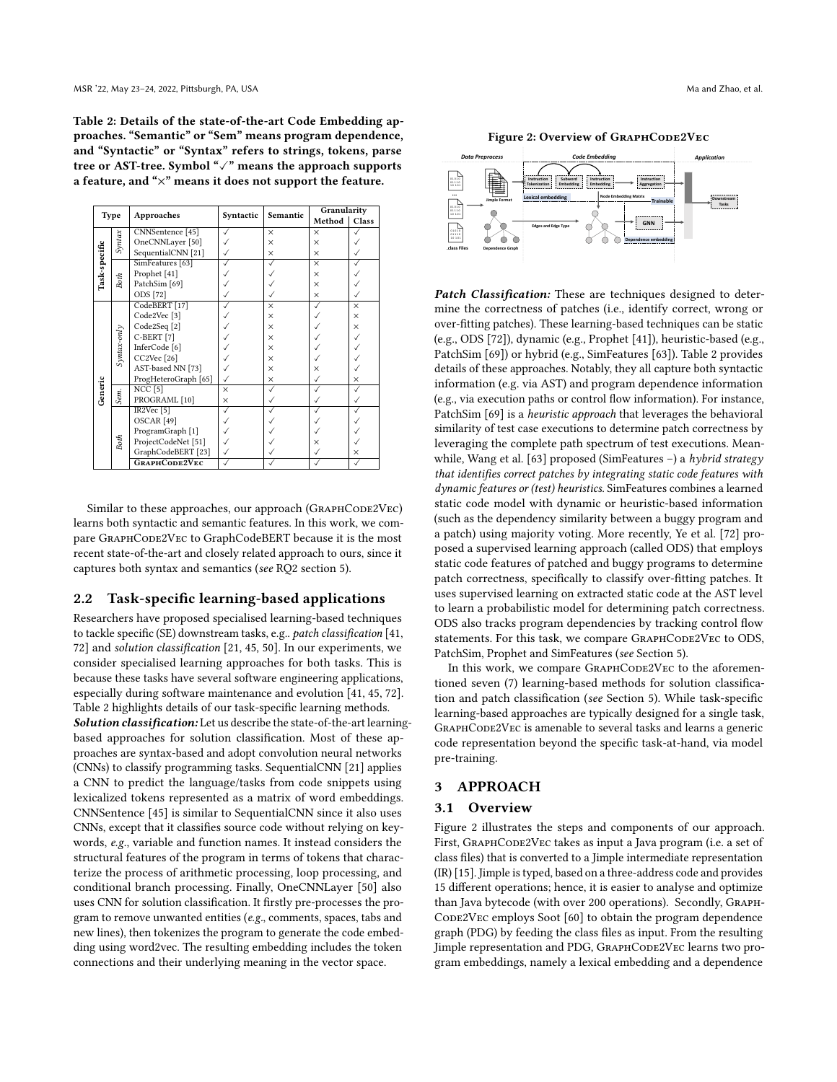<span id="page-3-1"></span>Table 2: Details of the state-of-the-art Code Embedding approaches. "Semantic" or "Sem" means program dependence, and "Syntactic" or "Syntax" refers to strings, tokens, parse tree or AST-tree. Symbol "✓" means the approach supports a feature, and "×" means it does not support the feature.

|               | Type        | Approaches               | Syntactic | Semantic | Granularity |          |  |  |
|---------------|-------------|--------------------------|-----------|----------|-------------|----------|--|--|
|               |             |                          |           |          | Method      | Class    |  |  |
|               |             | CNNSentence [45]         |           | $\times$ | $\times$    |          |  |  |
|               | Syntax      | OneCNNLayer [50]         |           | $\times$ | $\times$    |          |  |  |
| Task-specific |             | SequentialCNN [21]       |           | $\times$ | $\times$    |          |  |  |
|               |             | SimFeatures [63]         |           |          | $\times$    |          |  |  |
|               |             | Prophet [41]             |           |          | $\times$    |          |  |  |
|               | <b>Both</b> | PatchSim <sup>[69]</sup> |           |          | $\times$    |          |  |  |
|               |             | ODS [72]                 |           |          | $\times$    |          |  |  |
|               |             | CodeBERT <sup>[17]</sup> |           | $\times$ |             | $\times$ |  |  |
|               |             | Code2Vec <sup>[3]</sup>  |           | $\times$ |             | $\times$ |  |  |
|               |             | Code2Seq <sup>[2]</sup>  |           | $\times$ |             | $\times$ |  |  |
|               | Syntax-only | C-BERT [7]               |           | $\times$ |             |          |  |  |
|               |             | InferCode <sup>[6]</sup> |           | $\times$ |             |          |  |  |
|               |             | CC2Vec <sup>[26]</sup>   |           | $\times$ |             |          |  |  |
|               |             | AST-based NN [73]        |           | $\times$ | ×           |          |  |  |
|               |             | ProgHeteroGraph [65]     |           | $\times$ |             | $\times$ |  |  |
|               |             | <b>NCC</b> [5]           | $\times$  |          |             |          |  |  |
| Generic       | Sem.        | PROGRAML [10]            | $\times$  |          |             |          |  |  |
|               |             | IR2Vec <sup>[5]</sup>    |           |          |             |          |  |  |
|               |             | OSCAR <sup>[49]</sup>    |           |          |             |          |  |  |
|               |             | ProgramGraph [1]         |           |          |             |          |  |  |
|               | Both        | ProjectCodeNet [51]      |           |          | ×           |          |  |  |
|               |             | GraphCodeBERT [23]       |           |          |             | ×        |  |  |
|               |             | GRAPHCODE2VEC            |           |          |             |          |  |  |

Similar to these approaches, our approach (GRAPHCODE2VEC) learns both syntactic and semantic features. In this work, we compare GraphCode2Vec to GraphCodeBERT because it is the most recent state-of-the-art and closely related approach to ours, since it captures both syntax and semantics (see RQ2 section [5\)](#page-7-0).

#### 2.2 Task-specific learning-based applications

Researchers have proposed specialised learning-based techniques to tackle specific (SE) downstream tasks, e.g.. patch classification [\[41,](#page-11-18) [72\]](#page-12-10) and solution classification [\[21,](#page-11-17) [45,](#page-11-11) [50\]](#page-12-12). In our experiments, we consider specialised learning approaches for both tasks. This is because these tasks have several software engineering applications, especially during software maintenance and evolution [\[41,](#page-11-18) [45,](#page-11-11) [72\]](#page-12-10). Table [2](#page-3-1) highlights details of our task-specific learning methods. Solution classification: Let us describe the state-of-the-art learningbased approaches for solution classification. Most of these approaches are syntax-based and adopt convolution neural networks (CNNs) to classify programming tasks. SequentialCNN [\[21\]](#page-11-17) applies a CNN to predict the language/tasks from code snippets using lexicalized tokens represented as a matrix of word embeddings. CNNSentence [\[45\]](#page-11-11) is similar to SequentialCNN since it also uses CNNs, except that it classifies source code without relying on keywords, e.g., variable and function names. It instead considers the structural features of the program in terms of tokens that characterize the process of arithmetic processing, loop processing, and conditional branch processing. Finally, OneCNNLayer [\[50\]](#page-12-12) also uses CNN for solution classification. It firstly pre-processes the program to remove unwanted entities (e.g., comments, spaces, tabs and new lines), then tokenizes the program to generate the code embedding using word2vec. The resulting embedding includes the token connections and their underlying meaning in the vector space.

Figure 2: Overview of GRAPHCODE2VEC

<span id="page-3-2"></span>

Patch Classification: These are techniques designed to determine the correctness of patches (i.e., identify correct, wrong or over-fitting patches). These learning-based techniques can be static (e.g., ODS [\[72\]](#page-12-10)), dynamic (e.g., Prophet [\[41\]](#page-11-18)), heuristic-based (e.g., PatchSim [\[69\]](#page-12-14)) or hybrid (e.g., SimFeatures [\[63\]](#page-12-13)). Table [2](#page-3-1) provides details of these approaches. Notably, they all capture both syntactic information (e.g. via AST) and program dependence information (e.g., via execution paths or control flow information). For instance, PatchSim [\[69\]](#page-12-14) is a heuristic approach that leverages the behavioral similarity of test case executions to determine patch correctness by leveraging the complete path spectrum of test executions. Mean-while, Wang et al. [\[63\]](#page-12-13) proposed (SimFeatures -) a hybrid strategy that identifies correct patches by integrating static code features with dynamic features or (test) heuristics. SimFeatures combines a learned static code model with dynamic or heuristic-based information (such as the dependency similarity between a buggy program and a patch) using majority voting. More recently, Ye et al. [\[72\]](#page-12-10) proposed a supervised learning approach (called ODS) that employs static code features of patched and buggy programs to determine patch correctness, specifically to classify over-fitting patches. It uses supervised learning on extracted static code at the AST level to learn a probabilistic model for determining patch correctness. ODS also tracks program dependencies by tracking control flow statements. For this task, we compare GRAPHCODE2VEC to ODS, PatchSim, Prophet and SimFeatures (see Section [5\)](#page-7-0).

In this work, we compare GRAPHCODE2VEC to the aforementioned seven (7) learning-based methods for solution classification and patch classification (see Section [5\)](#page-7-0). While task-specific learning-based approaches are typically designed for a single task, GRAPHCODE2VEC is amenable to several tasks and learns a generic code representation beyond the specific task-at-hand, via model pre-training.

#### <span id="page-3-0"></span>3 APPROACH

#### 3.1 Overview

Figure [2](#page-3-2) illustrates the steps and components of our approach. First, GRAPHCODE2VEC takes as input a Java program (i.e. a set of class files) that is converted to a Jimple intermediate representation (IR) [\[15\]](#page-11-19). Jimple is typed, based on a three-address code and provides 15 different operations; hence, it is easier to analyse and optimize than Java bytecode (with over 200 operations). Secondly, Graph-CODE2VEC employs Soot [\[60\]](#page-12-15) to obtain the program dependence graph (PDG) by feeding the class files as input. From the resulting Jimple representation and PDG, GRAPHCODE2VEC learns two program embeddings, namely a lexical embedding and a dependence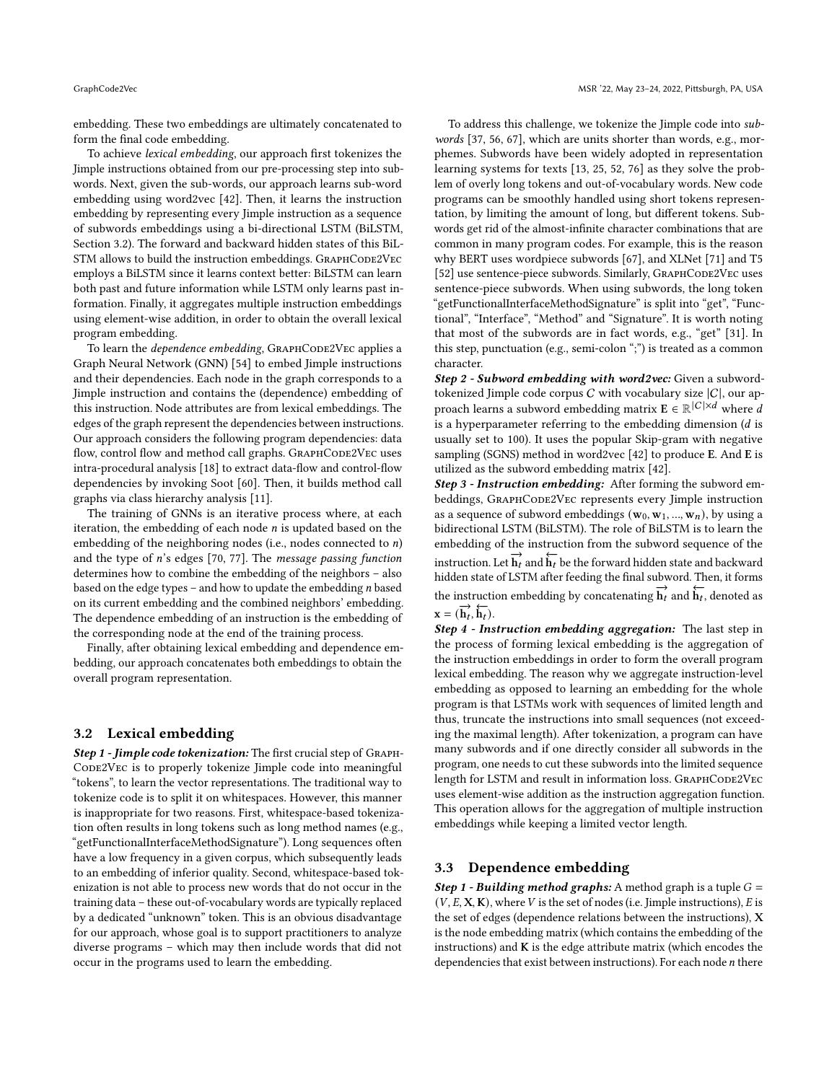embedding. These two embeddings are ultimately concatenated to form the final code embedding.

To achieve lexical embedding, our approach first tokenizes the Jimple instructions obtained from our pre-processing step into subwords. Next, given the sub-words, our approach learns sub-word embedding using word2vec [\[42\]](#page-11-20). Then, it learns the instruction embedding by representing every Jimple instruction as a sequence of subwords embeddings using a bi-directional LSTM (BiLSTM, Section [3.2\)](#page-4-0). The forward and backward hidden states of this BiL-STM allows to build the instruction embeddings. GRAPHCODE2VEC employs a BiLSTM since it learns context better: BiLSTM can learn both past and future information while LSTM only learns past information. Finally, it aggregates multiple instruction embeddings using element-wise addition, in order to obtain the overall lexical program embedding.

To learn the *dependence embedding*, GRAPHCODE2VEC applies a Graph Neural Network (GNN) [\[54\]](#page-12-16) to embed Jimple instructions and their dependencies. Each node in the graph corresponds to a Jimple instruction and contains the (dependence) embedding of this instruction. Node attributes are from lexical embeddings. The edges of the graph represent the dependencies between instructions. Our approach considers the following program dependencies: data flow, control flow and method call graphs. GRAPHCODE2VEC uses intra-procedural analysis [\[18\]](#page-11-21) to extract data-flow and control-flow dependencies by invoking Soot [\[60\]](#page-12-15). Then, it builds method call graphs via class hierarchy analysis [\[11\]](#page-11-22).

The training of GNNs is an iterative process where, at each iteration, the embedding of each node  $n$  is updated based on the embedding of the neighboring nodes (i.e., nodes connected to  $n$ ) and the type of  $n$ 's edges [\[70,](#page-12-17) [77\]](#page-12-18). The *message passing function* determines how to combine the embedding of the neighbors – also based on the edge types – and how to update the embedding  $n$  based on its current embedding and the combined neighbors' embedding. The dependence embedding of an instruction is the embedding of the corresponding node at the end of the training process.

Finally, after obtaining lexical embedding and dependence embedding, our approach concatenates both embeddings to obtain the overall program representation.

### <span id="page-4-0"></span>3.2 Lexical embedding

Step 1 - Jimple code tokenization: The first crucial step of GRAPH-CODE2VEC is to properly tokenize Jimple code into meaningful "tokens", to learn the vector representations. The traditional way to tokenize code is to split it on whitespaces. However, this manner is inappropriate for two reasons. First, whitespace-based tokenization often results in long tokens such as long method names (e.g., "getFunctionalInterfaceMethodSignature"). Long sequences often have a low frequency in a given corpus, which subsequently leads to an embedding of inferior quality. Second, whitespace-based tokenization is not able to process new words that do not occur in the training data – these out-of-vocabulary words are typically replaced by a dedicated "unknown" token. This is an obvious disadvantage for our approach, whose goal is to support practitioners to analyze diverse programs – which may then include words that did not occur in the programs used to learn the embedding.

To address this challenge, we tokenize the Jimple code into subwords [\[37,](#page-11-23) [56,](#page-12-19) [67\]](#page-12-20), which are units shorter than words, e.g., morphemes. Subwords have been widely adopted in representation learning systems for texts [\[13,](#page-11-24) [25,](#page-11-25) [52,](#page-12-21) [76\]](#page-12-22) as they solve the problem of overly long tokens and out-of-vocabulary words. New code programs can be smoothly handled using short tokens representation, by limiting the amount of long, but different tokens. Subwords get rid of the almost-infinite character combinations that are common in many program codes. For example, this is the reason why BERT uses wordpiece subwords [\[67\]](#page-12-20), and XLNet [\[71\]](#page-12-23) and T5 [\[52\]](#page-12-21) use sentence-piece subwords. Similarly, GRAPHCODE2VEC uses sentence-piece subwords. When using subwords, the long token 'getFunctionalInterfaceMethodSignature" is split into "get", "Functional", "Interface", "Method" and "Signature". It is worth noting that most of the subwords are in fact words, e.g., "get" [\[31\]](#page-11-26). In this step, punctuation (e.g., semi-colon ";") is treated as a common character.

Step 2 - Subword embedding with word2vec: Given a subwordtokenized Jimple code corpus C with vocabulary size  $|C|$ , our approach learns a subword embedding matrix  $\mathbf{E} \in \mathbb{R}^{|C| \times d}$  where d is a hyperparameter referring to the embedding dimension  $(d$  is usually set to 100). It uses the popular Skip-gram with negative sampling (SGNS) method in word2vec [\[42\]](#page-11-20) to produce E. And E is utilized as the subword embedding matrix [\[42\]](#page-11-20).

Step 3 - Instruction embedding: After forming the subword embeddings, GRAPHCODE2VEC represents every Jimple instruction as a sequence of subword embeddings  $(\mathbf{w}_0, \mathbf{w}_1, ..., \mathbf{w}_n)$ , by using a bidirectional LSTM (BiLSTM). The role of BiLSTM is to learn the embedding of the instruction from the subword sequence of the instruction. Let  $\overrightarrow{h}_t$  and  $\overleftarrow{h}_t$  be the forward hidden state and backward hidden state of LSTM after feeding the final subword. Then, it forms the instruction embedding by concatenating  $\overrightarrow{h}_t$  and  $\overleftarrow{h}_t$ , denoted as  $\mathbf{x} = (\overrightarrow{\mathbf{h}_t}, \overleftarrow{\mathbf{h}_t}).$ 

Step 4 - Instruction embedding aggregation: The last step in the process of forming lexical embedding is the aggregation of the instruction embeddings in order to form the overall program lexical embedding. The reason why we aggregate instruction-level embedding as opposed to learning an embedding for the whole program is that LSTMs work with sequences of limited length and thus, truncate the instructions into small sequences (not exceeding the maximal length). After tokenization, a program can have many subwords and if one directly consider all subwords in the program, one needs to cut these subwords into the limited sequence length for LSTM and result in information loss. GRAPHCODE2VEC uses element-wise addition as the instruction aggregation function. This operation allows for the aggregation of multiple instruction embeddings while keeping a limited vector length.

#### 3.3 Dependence embedding

**Step 1 - Building method graphs:** A method graph is a tuple  $G =$  $(V, E, X, K)$ , where V is the set of nodes (i.e. Jimple instructions),  $E$  is the set of edges (dependence relations between the instructions), X is the node embedding matrix (which contains the embedding of the instructions) and  $K$  is the edge attribute matrix (which encodes the dependencies that exist between instructions). For each node  $n$  there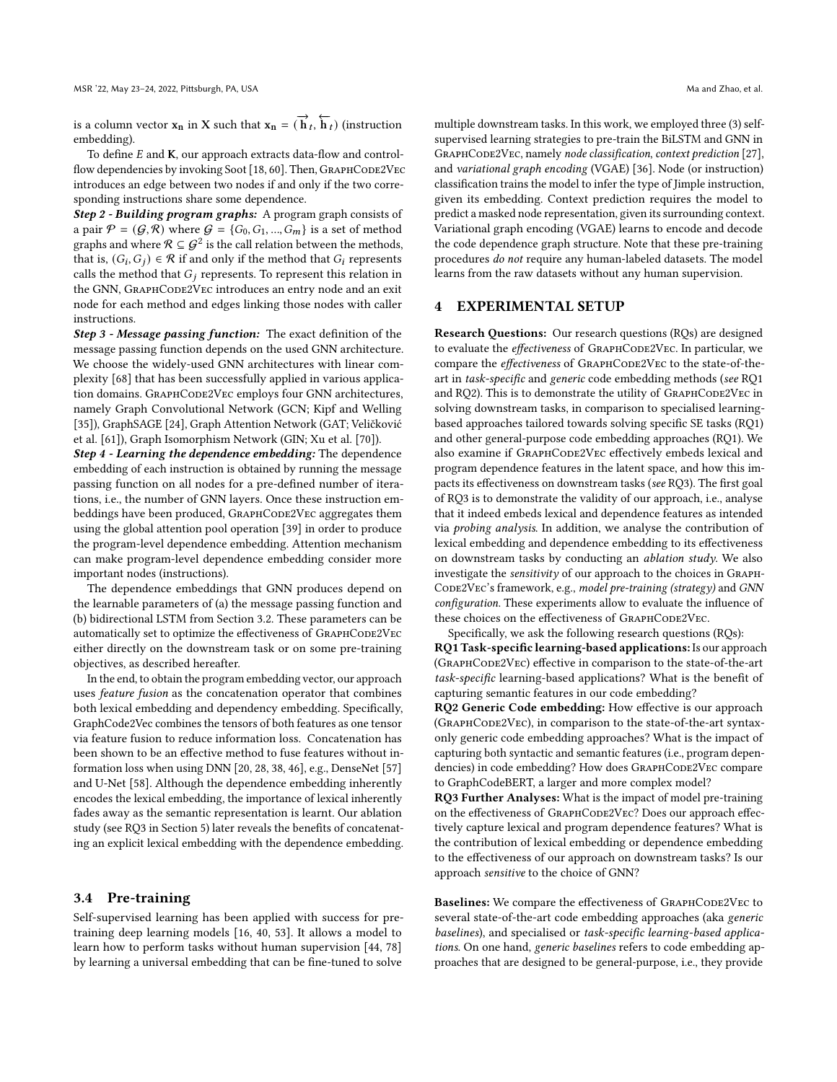is a column vector  $\mathbf{x}_n$  in X such that  $\mathbf{x}_n = (\overrightarrow{\mathbf{h}}_t, \overleftarrow{\mathbf{h}}_t)$  (instruction embedding).

To define  $E$  and  $K$ , our approach extracts data-flow and control-flow dependencies by invoking Soot [\[18,](#page-11-21) [60\]](#page-12-15). Then, GRAPHCODE2VEC introduces an edge between two nodes if and only if the two corresponding instructions share some dependence.

Step 2 - Building program graphs: A program graph consists of a pair  $\mathcal{P} = (\mathcal{G}, \mathcal{R})$  where  $\mathcal{G} = \{G_0, G_1, ..., G_m\}$  is a set of method graphs and where  $\mathcal{R} \subseteq \mathcal{G}^2$  is the call relation between the methods, that is,  $(G_i, G_j) \in \mathcal{R}$  if and only if the method that  $G_i$  represents calls the method that  $G_i$  represents. To represent this relation in the GNN, GRAPHCODE2VEC introduces an entry node and an exit node for each method and edges linking those nodes with caller instructions.

Step 3 - Message passing function: The exact definition of the message passing function depends on the used GNN architecture. We choose the widely-used GNN architectures with linear complexity [\[68\]](#page-12-24) that has been successfully applied in various application domains. GRAPHCODE2VEC employs four GNN architectures, namely Graph Convolutional Network (GCN; Kipf and Welling [\[35\]](#page-11-27)), GraphSAGE [\[24\]](#page-11-28), Graph Attention Network (GAT; Veličković et al. [\[61\]](#page-12-25)), Graph Isomorphism Network (GIN; Xu et al. [\[70\]](#page-12-17)).

Step 4 - Learning the dependence embedding: The dependence embedding of each instruction is obtained by running the message passing function on all nodes for a pre-defined number of iterations, i.e., the number of GNN layers. Once these instruction embeddings have been produced, GRAPHCODE2VEC aggregates them using the global attention pool operation [\[39\]](#page-11-29) in order to produce the program-level dependence embedding. Attention mechanism can make program-level dependence embedding consider more important nodes (instructions).

The dependence embeddings that GNN produces depend on the learnable parameters of (a) the message passing function and (b) bidirectional LSTM from Section [3.2.](#page-4-0) These parameters can be automatically set to optimize the effectiveness of GRAPHCODE2VEC either directly on the downstream task or on some pre-training objectives, as described hereafter.

In the end, to obtain the program embedding vector, our approach uses feature fusion as the concatenation operator that combines both lexical embedding and dependency embedding. Specifically, GraphCode2Vec combines the tensors of both features as one tensor via feature fusion to reduce information loss. Concatenation has been shown to be an effective method to fuse features without information loss when using DNN [\[20,](#page-11-30) [28,](#page-11-31) [38,](#page-11-32) [46\]](#page-11-33), e.g., DenseNet [\[57\]](#page-12-26) and U-Net [\[58\]](#page-12-27). Although the dependence embedding inherently encodes the lexical embedding, the importance of lexical inherently fades away as the semantic representation is learnt. Our ablation study (see RQ3 in Section [5\)](#page-7-0) later reveals the benefits of concatenating an explicit lexical embedding with the dependence embedding.

#### <span id="page-5-0"></span>3.4 Pre-training

Self-supervised learning has been applied with success for pretraining deep learning models [\[16,](#page-11-34) [40,](#page-11-35) [53\]](#page-12-28). It allows a model to learn how to perform tasks without human supervision [\[44,](#page-11-36) [78\]](#page-12-29) by learning a universal embedding that can be fine-tuned to solve

multiple downstream tasks. In this work, we employed three (3) selfsupervised learning strategies to pre-train the BiLSTM and GNN in GRAPHCODE2VEC, namely node classification, context prediction [\[27\]](#page-11-37), and variational graph encoding (VGAE) [\[36\]](#page-11-38). Node (or instruction) classification trains the model to infer the type of Jimple instruction, given its embedding. Context prediction requires the model to predict a masked node representation, given its surrounding context. Variational graph encoding (VGAE) learns to encode and decode the code dependence graph structure. Note that these pre-training procedures do not require any human-labeled datasets. The model learns from the raw datasets without any human supervision.

# 4 EXPERIMENTAL SETUP

Research Questions: Our research questions (RQs) are designed to evaluate the effectiveness of GRAPHCODE2VEC. In particular, we compare the effectiveness of GRAPHCODE2VEC to the state-of-theart in task-specific and generic code embedding methods (see RQ1 and RQ2). This is to demonstrate the utility of GRAPHCODE2VEC in solving downstream tasks, in comparison to specialised learningbased approaches tailored towards solving specific SE tasks (RQ1) and other general-purpose code embedding approaches (RQ1). We also examine if GRAPHCODE2VEC effectively embeds lexical and program dependence features in the latent space, and how this impacts its effectiveness on downstream tasks (see RQ3). The first goal of RQ3 is to demonstrate the validity of our approach, i.e., analyse that it indeed embeds lexical and dependence features as intended via probing analysis. In addition, we analyse the contribution of lexical embedding and dependence embedding to its effectiveness on downstream tasks by conducting an *ablation study*. We also investigate the sensitivity of our approach to the choices in Graph-CODE2VEC's framework, e.g., model pre-training (strategy) and GNN configuration. These experiments allow to evaluate the influence of these choices on the effectiveness of GRAPHCODE2VEC.

Specifically, we ask the following research questions (RQs): RQ1 Task-specific learning-based applications: Is our approach (GraphCode2Vec) effective in comparison to the state-of-the-art task-specific learning-based applications? What is the benefit of capturing semantic features in our code embedding?

RQ2 Generic Code embedding: How effective is our approach (GRAPHCODE2VEC), in comparison to the state-of-the-art syntaxonly generic code embedding approaches? What is the impact of capturing both syntactic and semantic features (i.e., program dependencies) in code embedding? How does GRAPHCODE2VEC compare to GraphCodeBERT, a larger and more complex model?

RQ3 Further Analyses: What is the impact of model pre-training on the effectiveness of GRAPHCODE2VEC? Does our approach effectively capture lexical and program dependence features? What is the contribution of lexical embedding or dependence embedding to the effectiveness of our approach on downstream tasks? Is our approach sensitive to the choice of GNN?

Baselines: We compare the effectiveness of GRAPHCODE2VEC to several state-of-the-art code embedding approaches (aka generic baselines), and specialised or task-specific learning-based applications. On one hand, generic baselines refers to code embedding approaches that are designed to be general-purpose, i.e., they provide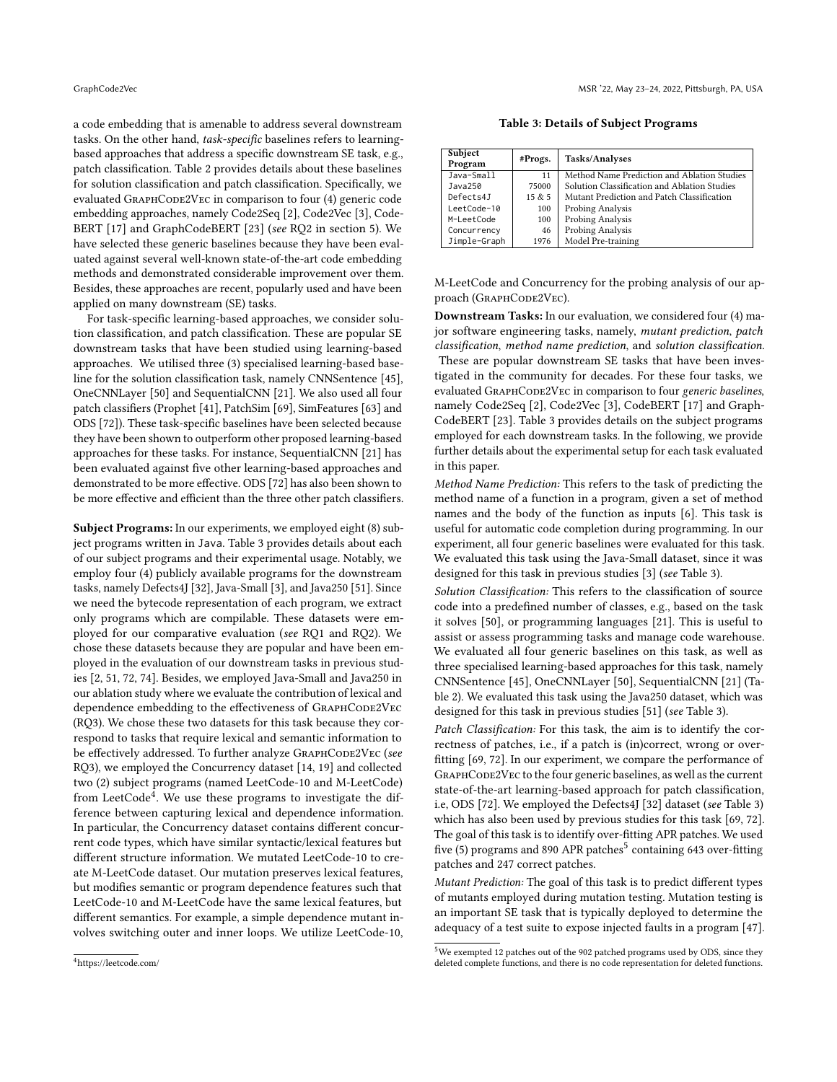a code embedding that is amenable to address several downstream tasks. On the other hand, task-specific baselines refers to learningbased approaches that address a specific downstream SE task, e.g., patch classification. [Table 2](#page-3-1) provides details about these baselines for solution classification and patch classification. Specifically, we evaluated GRAPHCODE2VEC in comparison to four (4) generic code embedding approaches, namely Code2Seq [\[2\]](#page-11-12), Code2Vec [\[3\]](#page-11-3), Code-BERT [\[17\]](#page-11-7) and GraphCodeBERT [\[23\]](#page-11-8) (see RQ2 in [section 5\)](#page-7-0). We have selected these generic baselines because they have been evaluated against several well-known state-of-the-art code embedding methods and demonstrated considerable improvement over them. Besides, these approaches are recent, popularly used and have been applied on many downstream (SE) tasks.

For task-specific learning-based approaches, we consider solution classification, and patch classification. These are popular SE downstream tasks that have been studied using learning-based approaches. We utilised three (3) specialised learning-based baseline for the solution classification task, namely CNNSentence [\[45\]](#page-11-11), OneCNNLayer [\[50\]](#page-12-12) and SequentialCNN [\[21\]](#page-11-17). We also used all four patch classifiers (Prophet [\[41\]](#page-11-18), PatchSim [\[69\]](#page-12-14), SimFeatures [\[63\]](#page-12-13) and ODS [\[72\]](#page-12-10)). These task-specific baselines have been selected because they have been shown to outperform other proposed learning-based approaches for these tasks. For instance, SequentialCNN [\[21\]](#page-11-17) has been evaluated against five other learning-based approaches and demonstrated to be more effective. ODS [\[72\]](#page-12-10) has also been shown to be more effective and efficient than the three other patch classifiers.

Subject Programs: In our experiments, we employed eight (8) subject programs written in Java. [Table 3](#page-6-0) provides details about each of our subject programs and their experimental usage. Notably, we employ four (4) publicly available programs for the downstream tasks, namely Defects4J [\[32\]](#page-11-39), Java-Small [\[3\]](#page-11-3), and Java250 [\[51\]](#page-12-7). Since we need the bytecode representation of each program, we extract only programs which are compilable. These datasets were employed for our comparative evaluation (see RQ1 and RQ2). We chose these datasets because they are popular and have been employed in the evaluation of our downstream tasks in previous studies [\[2,](#page-11-12) [51,](#page-12-7) [72,](#page-12-10) [74\]](#page-12-5). Besides, we employed Java-Small and Java250 in our ablation study where we evaluate the contribution of lexical and dependence embedding to the effectiveness of GRAPHCODE2VEC (RQ3). We chose these two datasets for this task because they correspond to tasks that require lexical and semantic information to be effectively addressed. To further analyze GRAPHCODE2VEC (see RQ3), we employed the Concurrency dataset [\[14,](#page-11-40) [19\]](#page-11-41) and collected two (2) subject programs (named LeetCode-10 and M-LeetCode) from LeetCode<sup>[4](#page-6-1)</sup>. We use these programs to investigate the difference between capturing lexical and dependence information. In particular, the Concurrency dataset contains different concurrent code types, which have similar syntactic/lexical features but different structure information. We mutated LeetCode-10 to create M-LeetCode dataset. Our mutation preserves lexical features, but modifies semantic or program dependence features such that LeetCode-10 and M-LeetCode have the same lexical features, but different semantics. For example, a simple dependence mutant involves switching outer and inner loops. We utilize LeetCode-10,

Table 3: Details of Subject Programs

<span id="page-6-0"></span>

| Subject<br>Program | #Progs. | Tasks/Analyses                               |
|--------------------|---------|----------------------------------------------|
| Java-Small         | 11      | Method Name Prediction and Ablation Studies  |
| Java250            | 75000   | Solution Classification and Ablation Studies |
| Defects4J          | 15 & 5  | Mutant Prediction and Patch Classification   |
| LeetCode-10        | 100     | Probing Analysis                             |
| M-LeetCode         | 100     | Probing Analysis                             |
| Concurrency        | 46      | Probing Analysis                             |
| Jimple-Graph       | 1976    | Model Pre-training                           |

M-LeetCode and Concurrency for the probing analysis of our approach (GRAPHCODE2VEC).

Downstream Tasks: In our evaluation, we considered four (4) major software engineering tasks, namely, mutant prediction, patch classification, method name prediction, and solution classification. These are popular downstream SE tasks that have been investigated in the community for decades. For these four tasks, we evaluated GRAPHCODE2VEC in comparison to four generic baselines, namely Code2Seq [\[2\]](#page-11-12), Code2Vec [\[3\]](#page-11-3), CodeBERT [\[17\]](#page-11-7) and Graph-CodeBERT [\[23\]](#page-11-8). Table [3](#page-6-0) provides details on the subject programs employed for each downstream tasks. In the following, we provide further details about the experimental setup for each task evaluated in this paper.

Method Name Prediction: This refers to the task of predicting the method name of a function in a program, given a set of method names and the body of the function as inputs [\[6\]](#page-11-13). This task is useful for automatic code completion during programming. In our experiment, all four generic baselines were evaluated for this task. We evaluated this task using the Java-Small dataset, since it was designed for this task in previous studies [\[3\]](#page-11-3) (see Table [3\)](#page-6-0).

Solution Classification: This refers to the classification of source code into a predefined number of classes, e.g., based on the task it solves [\[50\]](#page-12-12), or programming languages [\[21\]](#page-11-17). This is useful to assist or assess programming tasks and manage code warehouse. We evaluated all four generic baselines on this task, as well as three specialised learning-based approaches for this task, namely CNNSentence [\[45\]](#page-11-11), OneCNNLayer [\[50\]](#page-12-12), SequentialCNN [\[21\]](#page-11-17) (Table [2\)](#page-3-1). We evaluated this task using the Java250 dataset, which was designed for this task in previous studies [\[51\]](#page-12-7) (see Table [3\)](#page-6-0).

Patch Classification: For this task, the aim is to identify the correctness of patches, i.e., if a patch is (in)correct, wrong or overfitting [\[69,](#page-12-14) [72\]](#page-12-10). In our experiment, we compare the performance of GRAPHCODE2VEC to the four generic baselines, as well as the current state-of-the-art learning-based approach for patch classification, i.e, ODS [\[72\]](#page-12-10). We employed the Defects4J [\[32\]](#page-11-39) dataset (see Table [3\)](#page-6-0) which has also been used by previous studies for this task [\[69,](#page-12-14) [72\]](#page-12-10). The goal of this task is to identify over-fitting APR patches. We used five ([5](#page-6-2)) programs and 890 APR patches<sup>5</sup> containing 643 over-fitting patches and 247 correct patches.

Mutant Prediction: The goal of this task is to predict different types of mutants employed during mutation testing. Mutation testing is an important SE task that is typically deployed to determine the adequacy of a test suite to expose injected faults in a program [\[47\]](#page-11-42).

<span id="page-6-1"></span><sup>4</sup>https://leetcode.com/

<span id="page-6-2"></span> $^{5}\rm{We}$  exempted 12 patches out of the 902 patched programs used by ODS, since they deleted complete functions, and there is no code representation for deleted functions.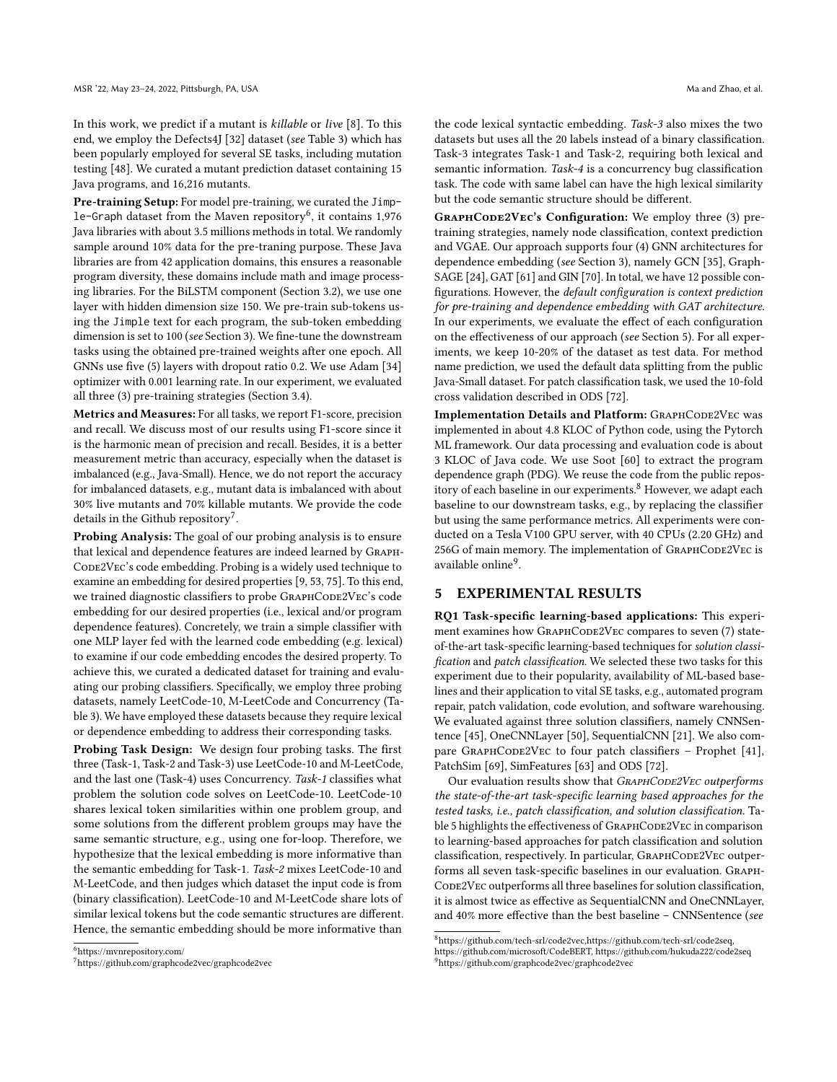In this work, we predict if a mutant is killable or live [\[8\]](#page-11-43). To this end, we employ the Defects4J [\[32\]](#page-11-39) dataset (see Table [3\)](#page-6-0) which has been popularly employed for several SE tasks, including mutation testing [\[48\]](#page-11-44). We curated a mutant prediction dataset containing 15 Java programs, and 16,216 mutants.

Pre-training Setup: For model pre-training, we curated the Jimple-Graph dataset from the Maven repository $^6$  $^6$ , it contains 1,976 Java libraries with about 3.5 millions methods in total. We randomly sample around 10% data for the pre-traning purpose. These Java libraries are from 42 application domains, this ensures a reasonable program diversity, these domains include math and image processing libraries. For the BiLSTM component (Section [3.2\)](#page-4-0), we use one layer with hidden dimension size 150. We pre-train sub-tokens using the Jimple text for each program, the sub-token embedding dimension is set to 100 (see Section [3\)](#page-3-0). We fine-tune the downstream tasks using the obtained pre-trained weights after one epoch. All GNNs use five (5) layers with dropout ratio 0.2. We use Adam [\[34\]](#page-11-45) optimizer with 0.001 learning rate. In our experiment, we evaluated all three (3) pre-training strategies (Section [3.4\)](#page-5-0).

Metrics and Measures: For all tasks, we report F1-score, precision and recall. We discuss most of our results using F1-score since it is the harmonic mean of precision and recall. Besides, it is a better measurement metric than accuracy, especially when the dataset is imbalanced (e.g., Java-Small). Hence, we do not report the accuracy for imbalanced datasets, e.g., mutant data is imbalanced with about 30% live mutants and 70% killable mutants. We provide the code details in the Github repository<sup>[7](#page-7-2)</sup>.

Probing Analysis: The goal of our probing analysis is to ensure that lexical and dependence features are indeed learned by Graph-CODE2VEC's code embedding. Probing is a widely used technique to examine an embedding for desired properties [\[9,](#page-11-46) [53,](#page-12-28) [75\]](#page-12-30). To this end, we trained diagnostic classifiers to probe GRAPHCODE2VEC's code embedding for our desired properties (i.e., lexical and/or program dependence features). Concretely, we train a simple classifier with one MLP layer fed with the learned code embedding (e.g. lexical) to examine if our code embedding encodes the desired property. To achieve this, we curated a dedicated dataset for training and evaluating our probing classifiers. Specifically, we employ three probing datasets, namely LeetCode-10, M-LeetCode and Concurrency (Table [3\)](#page-6-0). We have employed these datasets because they require lexical or dependence embedding to address their corresponding tasks.

Probing Task Design: We design four probing tasks. The first three (Task-1, Task-2 and Task-3) use LeetCode-10 and M-LeetCode, and the last one (Task-4) uses Concurrency. Task-1 classifies what problem the solution code solves on LeetCode-10. LeetCode-10 shares lexical token similarities within one problem group, and some solutions from the different problem groups may have the same semantic structure, e.g., using one for-loop. Therefore, we hypothesize that the lexical embedding is more informative than the semantic embedding for Task-1. Task-2 mixes LeetCode-10 and M-LeetCode, and then judges which dataset the input code is from (binary classification). LeetCode-10 and M-LeetCode share lots of similar lexical tokens but the code semantic structures are different. Hence, the semantic embedding should be more informative than

<span id="page-7-1"></span><sup>6</sup>https://mvnrepository.com/

<span id="page-7-2"></span><sup>7</sup><https://github.com/graphcode2vec/graphcode2vec>

the code lexical syntactic embedding. Task-3 also mixes the two datasets but uses all the 20 labels instead of a binary classification. Task-3 integrates Task-1 and Task-2, requiring both lexical and semantic information. Task-4 is a concurrency bug classification task. The code with same label can have the high lexical similarity but the code semantic structure should be different.

GRAPHCODE2VEC's Configuration: We employ three (3) pretraining strategies, namely node classification, context prediction and VGAE. Our approach supports four (4) GNN architectures for dependence embedding (see Section [3\)](#page-3-0), namely GCN [\[35\]](#page-11-27), Graph-SAGE [\[24\]](#page-11-28), GAT [\[61\]](#page-12-25) and GIN [\[70\]](#page-12-17). In total, we have 12 possible configurations. However, the default configuration is context prediction for pre-training and dependence embedding with GAT architecture. In our experiments, we evaluate the effect of each configuration on the effectiveness of our approach (see Section [5\)](#page-7-0). For all experiments, we keep 10-20% of the dataset as test data. For method name prediction, we used the default data splitting from the public Java-Small dataset. For patch classification task, we used the 10-fold cross validation described in ODS [\[72\]](#page-12-10).

Implementation Details and Platform: GRAPHCODE2VEC was implemented in about 4.8 KLOC of Python code, using the Pytorch ML framework. Our data processing and evaluation code is about 3 KLOC of Java code. We use Soot [\[60\]](#page-12-15) to extract the program dependence graph (PDG). We reuse the code from the public repos-itory of each baseline in our experiments.<sup>[8](#page-7-3)</sup> However, we adapt each baseline to our downstream tasks, e.g., by replacing the classifier but using the same performance metrics. All experiments were conducted on a Tesla V100 GPU server, with 40 CPUs (2.20 GHz) and 256G of main memory. The implementation of GRAPHCODE2VEC is available online<sup>[9](#page-7-4)</sup>.

# <span id="page-7-0"></span>5 EXPERIMENTAL RESULTS

RQ1 Task-specific learning-based applications: This experiment examines how GRAPHCODE2VEC compares to seven (7) stateof-the-art task-specific learning-based techniques for solution classification and patch classification. We selected these two tasks for this experiment due to their popularity, availability of ML-based baselines and their application to vital SE tasks, e.g., automated program repair, patch validation, code evolution, and software warehousing. We evaluated against three solution classifiers, namely CNNSentence [\[45\]](#page-11-11), OneCNNLayer [\[50\]](#page-12-12), SequentialCNN [\[21\]](#page-11-17). We also com-pare GRAPHCODE2VEC to four patch classifiers - Prophet [\[41\]](#page-11-18), PatchSim [\[69\]](#page-12-14), SimFeatures [\[63\]](#page-12-13) and ODS [\[72\]](#page-12-10).

Our evaluation results show that GRAPHCODE2VEC outperforms the state-of-the-art task-specific learning based approaches for the tested tasks, i.e., patch classification, and solution classification. Ta-ble [5](#page-8-0) highlights the effectiveness of GRAPHCODE2VEC in comparison to learning-based approaches for patch classification and solution classification, respectively. In particular, GRAPHCODE2VEC outperforms all seven task-specific baselines in our evaluation. Graph-CODE2VEC outperforms all three baselines for solution classification, it is almost twice as effective as SequentialCNN and OneCNNLayer, and 40% more effective than the best baseline – CNNSentence (see

<span id="page-7-3"></span><sup>8</sup>https://github.com/tech-srl/code2vec,https://github.com/tech-srl/code2seq,

<span id="page-7-4"></span>https://github.com/microsoft/CodeBERT, https://github.com/hukuda222/code2seq <sup>9</sup>https://github.com/graphcode2vec/graphcode2vec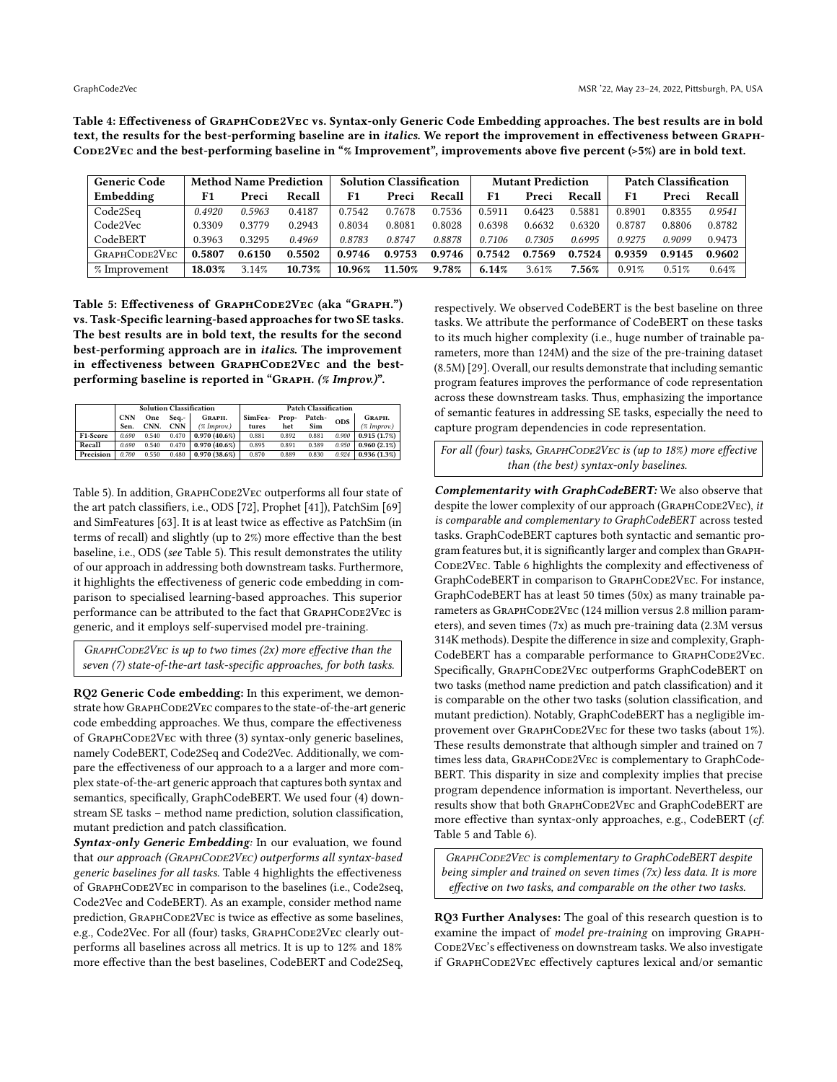<span id="page-8-1"></span>Table 4: Effectiveness of GRAPHCODE2VEC vs. Syntax-only Generic Code Embedding approaches. The best results are in bold text, the results for the best-performing baseline are in italics. We report the improvement in effectiveness between Graph-CODE2VEC and the best-performing baseline in "% Improvement", improvements above five percent (>5%) are in bold text.

| <b>Generic Code</b> |        | <b>Method Name Prediction</b> |        |        | <b>Solution Classification</b> |        |        | <b>Mutant Prediction</b> |        | <b>Patch Classification</b> |        |        |
|---------------------|--------|-------------------------------|--------|--------|--------------------------------|--------|--------|--------------------------|--------|-----------------------------|--------|--------|
| Embedding           | F1     | Preci                         | Recall | F1     | Preci                          | Recall | F1     | Preci                    | Recall | F <sub>1</sub>              | Preci  | Recall |
| Code2Seq            | 0.4920 | 0.5963                        | 0.4187 | 0.7542 | 0.7678                         | 0.7536 | 0.5911 | 0.6423                   | 0.5881 | 0.8901                      | 0.8355 | 0.9541 |
| Code2Vec            | 0.3309 | 0.3779                        | 0.2943 | 0.8034 | 0.8081                         | 0.8028 | 0.6398 | 0.6632                   | 0.6320 | 0.8787                      | 0.8806 | 0.8782 |
| CodeBERT            | 0.3963 | 0.3295                        | 0.4969 | 0.8783 | 0.8747                         | 0.8878 | 0.7106 | 0.7305                   | 0.6995 | 0.9275                      | 0.9099 | 0.9473 |
| GRAPHCODE2VEC       | 0.5807 | 0.6150                        | 0.5502 | 0.9746 | 0.9753                         | 0.9746 | 0.7542 | 0.7569                   | 0.7524 | 0.9359                      | 0.9145 | 0.9602 |
| % Improvement       | 18.03% | 3.14%                         | 10.73% | 10.96% | 11.50%                         | 9.78%  | 6.14%  | 3.61%                    | 7.56%  | 0.91%                       | 0.51%  | 0.64%  |

<span id="page-8-0"></span>Table 5: Effectiveness of GRAPHCODE2VEC (aka "GRAPH.") vs. Task-Specific learning-based approaches for two SE tasks. The best results are in bold text, the results for the second best-performing approach are in italics. The improvement in effectiveness between GRAPHCODE2VEC and the bestperforming baseline is reported in "Graph. (% Improv.)".

|           |                    |             |                     | <b>Solution Classification</b> | <b>Patch Classification</b> |              |                             |       |                             |  |  |  |
|-----------|--------------------|-------------|---------------------|--------------------------------|-----------------------------|--------------|-----------------------------|-------|-----------------------------|--|--|--|
|           | <b>CNN</b><br>Sen. | One<br>CNN. | Seq.-<br><b>CNN</b> | GRAPH.<br>$($ % Improv. $)$    | SimFea-<br>tures            | Prop-<br>het | Patch-<br><b>ODS</b><br>Sim |       | GRAPH.<br>$($ % Improv. $)$ |  |  |  |
| F1-Score  | 0.690              | 0.540       | 0.470               | $0.970(40.6\%)$                | 0.881                       | 0.892        | 0.881                       | 0.900 | 0.915(1.7%)                 |  |  |  |
| Recall    | 0.690              | 0.540       | 0.470               | $0.970(40.6\%)$                | 0.895                       | 0.891        | 0.389                       | 0.950 | 0.960(2.1%)                 |  |  |  |
| Precision | 0.700              | 0.550       | 0.480               | 0.970(38.6%)                   | 0.870                       | 0.889        | 0.830                       | 0.924 | 0.936(1.3%)                 |  |  |  |

Table [5\)](#page-8-0). In addition, GRAPHCODE2VEC outperforms all four state of the art patch classifiers, i.e., ODS [\[72\]](#page-12-10), Prophet [\[41\]](#page-11-18)), PatchSim [\[69\]](#page-12-14) and SimFeatures [\[63\]](#page-12-13). It is at least twice as effective as PatchSim (in terms of recall) and slightly (up to 2%) more effective than the best baseline, i.e., ODS (see Table [5\)](#page-8-0). This result demonstrates the utility of our approach in addressing both downstream tasks. Furthermore, it highlights the effectiveness of generic code embedding in comparison to specialised learning-based approaches. This superior performance can be attributed to the fact that GRAPHCODE2VEC is generic, and it employs self-supervised model pre-training.

 $G$ RAPHCODE2VEC is up to two times (2x) more effective than the seven (7) state-of-the-art task-specific approaches, for both tasks.

RQ2 Generic Code embedding: In this experiment, we demonstrate how GRAPHCODE2VEC compares to the state-of-the-art generic code embedding approaches. We thus, compare the effectiveness of GRAPHCODE2VEC with three (3) syntax-only generic baselines, namely CodeBERT, Code2Seq and Code2Vec. Additionally, we compare the effectiveness of our approach to a a larger and more complex state-of-the-art generic approach that captures both syntax and semantics, specifically, GraphCodeBERT. We used four (4) downstream SE tasks – method name prediction, solution classification, mutant prediction and patch classification.

Syntax-only Generic Embedding: In our evaluation, we found that our approach (GRAPHCODE2VEC) outperforms all syntax-based generic baselines for all tasks. Table [4](#page-8-1) highlights the effectiveness of GRAPHCODE2VEC in comparison to the baselines (i.e., Code2seq, Code2Vec and CodeBERT). As an example, consider method name prediction, GRAPHCODE2VEC is twice as effective as some baselines, e.g., Code2Vec. For all (four) tasks, GRAPHCODE2VEC clearly outperforms all baselines across all metrics. It is up to 12% and 18% more effective than the best baselines, CodeBERT and Code2Seq,

respectively. We observed CodeBERT is the best baseline on three tasks. We attribute the performance of CodeBERT on these tasks to its much higher complexity (i.e., huge number of trainable parameters, more than 124M) and the size of the pre-training dataset (8.5M) [\[29\]](#page-11-47). Overall, our results demonstrate that including semantic program features improves the performance of code representation across these downstream tasks. Thus, emphasizing the importance of semantic features in addressing SE tasks, especially the need to capture program dependencies in code representation.

For all (four) tasks, GRAPHCODE2VEC is (up to 18%) more effective than (the best) syntax-only baselines.

Complementarity with GraphCodeBERT: We also observe that despite the lower complexity of our approach (GRAPHCODE2VEC), it is comparable and complementary to GraphCodeBERT across tested tasks. GraphCodeBERT captures both syntactic and semantic program features but, it is significantly larger and complex than Graph-CODE2VEC. Table [6](#page-9-0) highlights the complexity and effectiveness of GraphCodeBERT in comparison to GRAPHCODE2VEC. For instance, GraphCodeBERT has at least 50 times (50x) as many trainable parameters as GRAPHCODE2VEC (124 million versus 2.8 million parameters), and seven times (7x) as much pre-training data (2.3M versus 314K methods). Despite the difference in size and complexity, Graph-CodeBERT has a comparable performance to GRAPHCODE2VEC. Specifically, GraphCode2Vec outperforms GraphCodeBERT on two tasks (method name prediction and patch classification) and it is comparable on the other two tasks (solution classification, and mutant prediction). Notably, GraphCodeBERT has a negligible improvement over GRAPHCODE2VEC for these two tasks (about 1%). These results demonstrate that although simpler and trained on 7 times less data, GRAPHCODE2VEC is complementary to GraphCode-BERT. This disparity in size and complexity implies that precise program dependence information is important. Nevertheless, our results show that both GraphCode2Vec and GraphCodeBERT are more effective than syntax-only approaches, e.g., CodeBERT (cf. Table [5](#page-8-0) and Table [6\)](#page-9-0).

GRAPHCODE2VEC is complementary to GraphCodeBERT despite being simpler and trained on seven times (7x) less data. It is more effective on two tasks, and comparable on the other two tasks.

RQ3 Further Analyses: The goal of this research question is to examine the impact of model pre-training on improving Graph-CODE2VEC's effectiveness on downstream tasks. We also investigate if GraphCode2Vec effectively captures lexical and/or semantic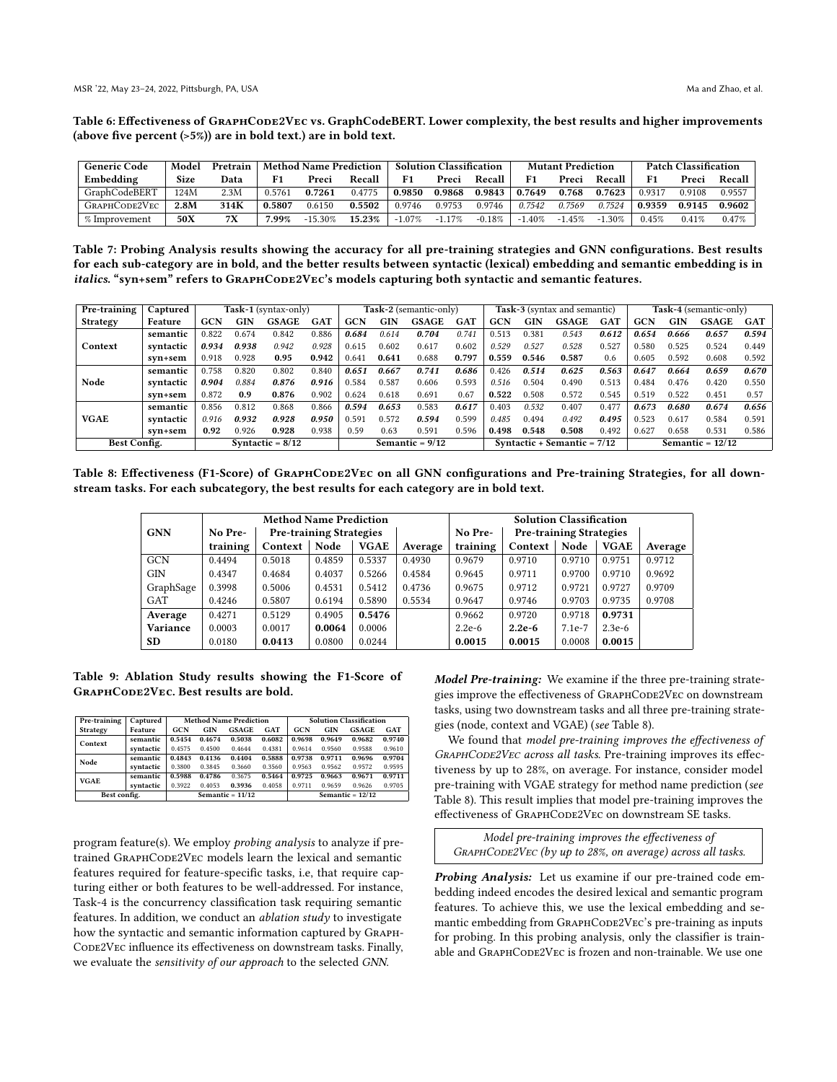<span id="page-9-0"></span>Table 6: Effectiveness of GRAPHCODE2VEC vs. GraphCodeBERT. Lower complexity, the best results and higher improvements (above five percent (>5%)) are in bold text.) are in bold text.

| <b>Generic Code</b> | Model | Pretrain | <b>Method Name Prediction</b> |           |        | <b>Solution Classification</b> |          |          |          | <b>Mutant Prediction</b> |          | <b>Patch Classification</b> |        |          |
|---------------------|-------|----------|-------------------------------|-----------|--------|--------------------------------|----------|----------|----------|--------------------------|----------|-----------------------------|--------|----------|
| Embedding           | Size  | Data     |                               | Preci     | Recall | F1                             | Preci    | Recall   | F1       | Preci                    | Recall   |                             | Preci  | Recall   |
| GraphCodeBERT       | 124M  | 2.3M     | 0.5761                        | 0.7261    | 0.4775 | 0.9850                         | 0.9868   | 0.9843   | 0.7649   | 0.768                    | 0.7623   | 0.9317                      | 0.9108 | 0.9557   |
| GRAPHCODE2VEC       | 2.8M  | 314K     | 0.5807                        | 0.6150    | 0.5502 | 0.9746                         | 0.9753   | 0.9746   | 0.7542   | 0.7569                   | 0.7524   | 0.9359                      | 0.9145 | 0.9602   |
| % Improvement       | 50X   |          | .99%                          | $-15.30%$ | 15.23% | $-1.07%$                       | $-1.17%$ | $-0.18%$ | $-1.40%$ | $-1.45%$                 | $-1.30%$ | 0.45%                       | 0.41%  | $0.47\%$ |

<span id="page-9-2"></span>Table 7: Probing Analysis results showing the accuracy for all pre-training strategies and GNN configurations. Best results for each sub-category are in bold, and the better results between syntactic (lexical) embedding and semantic embedding is in italics. "syn+sem" refers to GRAPHCODE2VEC's models capturing both syntactic and semantic features.

| Pre-training    | Captured  |                    |            | Task-1 (syntax-only) |                   |            |       | Task-2 (semantic-only)        |       |       |            | <b>Task-3</b> (syntax and semantic) |            |            |       | Task-4 (semantic-only) |       |
|-----------------|-----------|--------------------|------------|----------------------|-------------------|------------|-------|-------------------------------|-------|-------|------------|-------------------------------------|------------|------------|-------|------------------------|-------|
| <b>Strategy</b> | Feature   | <b>GCN</b>         | <b>GIN</b> | GSAGE                | <b>GAT</b>        | <b>GCN</b> | GIN   | <b>GSAGE</b>                  | GAT   | GCN   | <b>GIN</b> | GSAGE                               | <b>GAT</b> | <b>GCN</b> | GIN   | <b>GSAGE</b>           | GAT   |
| Context         | semantic  | 0.822              | 0.674      | 0.842                | 0.886             | 0.684      | 0.614 | 0.704                         | 0.741 | 0.513 | 0.381      | 0.543                               | 0.612      | 0.654      | 0.666 | 0.657                  | 0.594 |
|                 | syntactic | 0.934              | 0.938      | 0.942                | 0.928             | 0.615      | 0.602 | 0.617                         | 0.602 | 0.529 | 0.527      | 0.528                               | 0.527      | 0.580      | 0.525 | 0.524                  | 0.449 |
|                 | syn+sem   | 0.918              | 0.928      | 0.95                 | 0.942             | 0.641      | 0.641 | 0.688                         | 0.797 | 0.559 | 0.546      | 0.587                               | 0.6        | 0.605      | 0.592 | 0.608                  | 0.592 |
|                 | semantic  | 0.758              | 0.820      | 0.802                | 0.840             | 0.651      | 0.667 | 0.741                         | 0.686 | 0.426 | 0.514      | 0.625                               | 0.563      | 0.647      | 0.664 | 0.659                  | 0.670 |
| Node            | syntactic | 0.904              | 0.884      | 0.876                | 0.916             | 0.584      | 0.587 | 0.606                         | 0.593 | 0.516 | 0.504      | 0.490                               | 0.513      | 0.484      | 0.476 | 0.420                  | 0.550 |
|                 | syn+sem   | 0.872              | 0.9        | 0.876                | 0.902             | 0.624      | 0.618 | 0.691                         | 0.67  | 0.522 | 0.508      | 0.572                               | 0.545      | 0.519      | 0.522 | 0.451                  | 0.57  |
|                 | semantic  | 0.856              | 0.812      | 0.868                | 0.866             | 0.594      | 0.653 | 0.583                         | 0.617 | 0.403 | 0.532      | 0.407                               | 0.477      | 0.673      | 0.680 | 0.674                  | 0.656 |
| <b>VGAE</b>     | syntactic | 0.916              | 0.932      | 0.928                | 0.950             | 0.591      | 0.572 | 0.594                         | 0.599 | 0.485 | 0.494      | 0.492                               | 0.495      | 0.523      | 0.617 | 0.584                  | 0.591 |
|                 | svn+sem   | 0.92               | 0.926      | 0.928                | 0.938             | 0.59       | 0.63  | 0.591                         | 0.596 | 0.498 | 0.548      | 0.508                               | 0.492      | 0.627      | 0.658 | 0.531                  | 0.586 |
| Best Config.    |           | Syntactic $= 8/12$ |            |                      | Semantic $= 9/12$ |            |       | Syntactic + Semantic = $7/12$ |       |       |            | Semantic $= 12/12$                  |            |            |       |                        |       |

<span id="page-9-1"></span>Table 8: Effectiveness (F1-Score) of GRAPHCoDE2VEC on all GNN configurations and Pre-training Strategies, for all downstream tasks. For each subcategory, the best results for each category are in bold text.

|                 |          | <b>Method Name Prediction</b>  |        |             |         |          | <b>Solution Classification</b> |          |             |         |
|-----------------|----------|--------------------------------|--------|-------------|---------|----------|--------------------------------|----------|-------------|---------|
| <b>GNN</b>      | No Pre-  | <b>Pre-training Strategies</b> |        |             |         | No Pre-  | <b>Pre-training Strategies</b> |          |             |         |
|                 | training | Context                        | Node   | <b>VGAE</b> | Average | training | Context                        | Node     | <b>VGAE</b> | Average |
| <b>GCN</b>      | 0.4494   | 0.5018                         | 0.4859 | 0.5337      | 0.4930  | 0.9679   | 0.9710                         | 0.9710   | 0.9751      | 0.9712  |
| <b>GIN</b>      | 0.4347   | 0.4684                         | 0.4037 | 0.5266      | 0.4584  | 0.9645   | 0.9711                         | 0.9700   | 0.9710      | 0.9692  |
| GraphSage       | 0.3998   | 0.5006                         | 0.4531 | 0.5412      | 0.4736  | 0.9675   | 0.9712                         | 0.9721   | 0.9727      | 0.9709  |
| <b>GAT</b>      | 0.4246   | 0.5807                         | 0.6194 | 0.5890      | 0.5534  | 0.9647   | 0.9746                         | 0.9703   | 0.9735      | 0.9708  |
| Average         | 0.4271   | 0.5129                         | 0.4905 | 0.5476      |         | 0.9662   | 0.9720                         | 0.9718   | 0.9731      |         |
| <b>Variance</b> | 0.0003   | 0.0017                         | 0.0064 | 0.0006      |         | $2.2e-6$ | $2.2e-6$                       | $7.1e-7$ | $2.3e-6$    |         |
| <b>SD</b>       | 0.0180   | 0.0413                         | 0.0800 | 0.0244      |         | 0.0015   | 0.0015                         | 0.0008   | 0.0015      |         |

<span id="page-9-3"></span>Table 9: Ablation Study results showing the F1-Score of GraphCode2Vec. Best results are bold.

| Pre-training    | Captured  |            |            | <b>Method Name Prediction</b> |            | <b>Solution Classification</b> |            |              |            |  |
|-----------------|-----------|------------|------------|-------------------------------|------------|--------------------------------|------------|--------------|------------|--|
| <b>Strategy</b> | Feature   | <b>GCN</b> | <b>GIN</b> | <b>GSAGE</b>                  | <b>GAT</b> | <b>GCN</b>                     | <b>GIN</b> | <b>GSAGE</b> | <b>GAT</b> |  |
| Context         | semantic  | 0.5454     | 0.4674     | 0.5038                        | 0.6082     | 0.9698                         | 0.9649     | 0.9682       | 0.9740     |  |
|                 | syntactic | 0.4575     | 0.4500     | 0.4644                        | 0.4381     | 0.9614                         | 0.9560     | 0.9588       | 0.9610     |  |
| Node            | semantic  | 0.4843     | 0.4136     | 0.4404                        | 0.5888     | 0.9738                         | 0.9711     | 0.9696       | 0.9704     |  |
|                 | syntactic | 0.3800     | 0.3845     | 0.3660                        | 0.3560     | 0.9563                         | 0.9562     | 0.9572       | 0.9595     |  |
| <b>VGAE</b>     | semantic  | 0.5988     | 0.4786     | 0.3675                        | 0.5464     | 0.9725                         | 0.9663     | 0.9671       | 0.9711     |  |
|                 | syntactic | 0.3922     | 0.4053     | 0.3936                        | 0.4058     | 0.9711                         | 0.9659     | 0.9626       | 0.9705     |  |
| Best config.    |           |            |            | Semantic $= 11/12$            |            | Semantic = $12/12$             |            |              |            |  |

program feature(s). We employ probing analysis to analyze if pretrained GRAPHCODE2VEC models learn the lexical and semantic features required for feature-specific tasks, i.e, that require capturing either or both features to be well-addressed. For instance, Task-4 is the concurrency classification task requiring semantic features. In addition, we conduct an ablation study to investigate how the syntactic and semantic information captured by Graph-CODE2VEC influence its effectiveness on downstream tasks. Finally, we evaluate the sensitivity of our approach to the selected GNN.

Model Pre-training: We examine if the three pre-training strategies improve the effectiveness of GRAPHCODE2VEC on downstream tasks, using two downstream tasks and all three pre-training strategies (node, context and VGAE) (see Table [8\)](#page-9-1).

We found that model pre-training improves the effectiveness of GRAPHCODE2VEC across all tasks. Pre-training improves its effectiveness by up to 28%, on average. For instance, consider model pre-training with VGAE strategy for method name prediction (see Table [8\)](#page-9-1). This result implies that model pre-training improves the effectiveness of GRAPHCODE2VEC on downstream SE tasks.

Model pre-training improves the effectiveness of GRAPHCODE2VEC (by up to 28%, on average) across all tasks.

Probing Analysis: Let us examine if our pre-trained code embedding indeed encodes the desired lexical and semantic program features. To achieve this, we use the lexical embedding and semantic embedding from GRAPHCODE2VEC's pre-training as inputs for probing. In this probing analysis, only the classifier is trainable and GRAPHCODE2VEC is frozen and non-trainable. We use one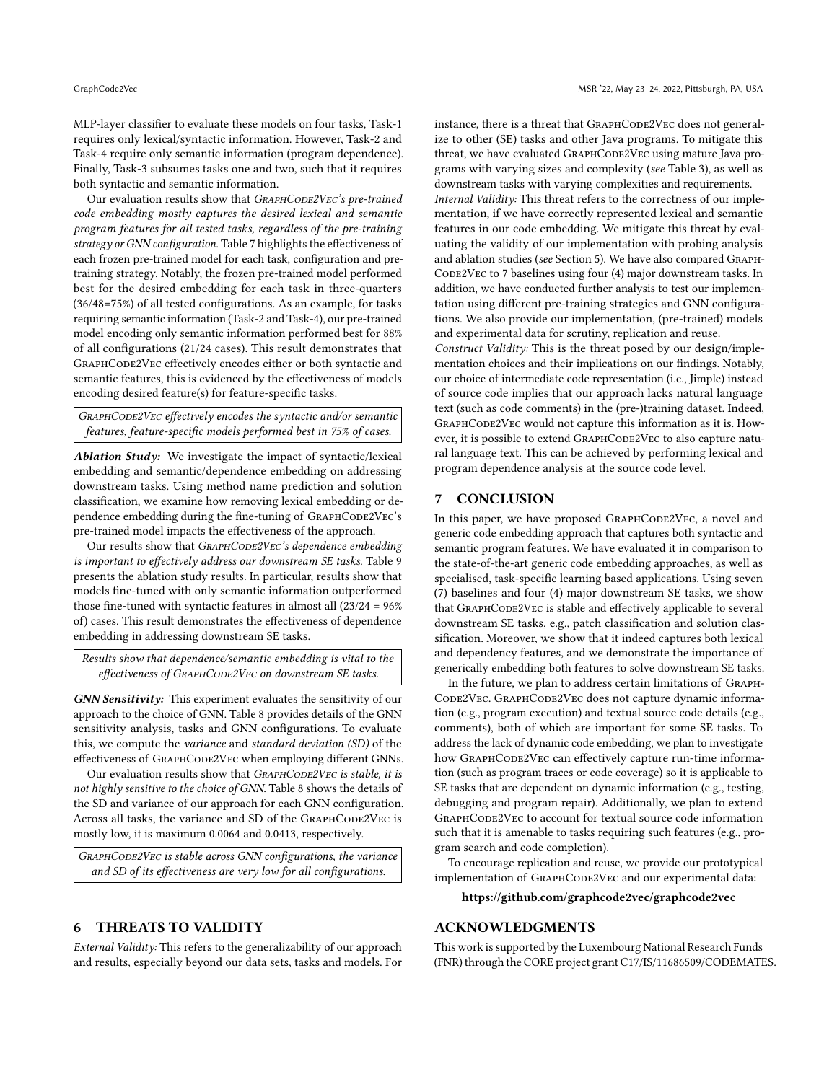MLP-layer classifier to evaluate these models on four tasks, Task-1 requires only lexical/syntactic information. However, Task-2 and Task-4 require only semantic information (program dependence). Finally, Task-3 subsumes tasks one and two, such that it requires both syntactic and semantic information.

Our evaluation results show that GRAPHCODE2VEC's pre-trained code embedding mostly captures the desired lexical and semantic program features for all tested tasks, regardless of the pre-training strategy or GNN configuration. Table [7](#page-9-2) highlights the effectiveness of each frozen pre-trained model for each task, configuration and pretraining strategy. Notably, the frozen pre-trained model performed best for the desired embedding for each task in three-quarters (36/48=75%) of all tested configurations. As an example, for tasks requiring semantic information (Task-2 and Task-4), our pre-trained model encoding only semantic information performed best for 88% of all configurations (21/24 cases). This result demonstrates that GRAPHCODE2VEC effectively encodes either or both syntactic and semantic features, this is evidenced by the effectiveness of models encoding desired feature(s) for feature-specific tasks.

GRAPHCODE2VEC effectively encodes the syntactic and/or semantic features, feature-specific models performed best in 75% of cases.

Ablation Study: We investigate the impact of syntactic/lexical embedding and semantic/dependence embedding on addressing downstream tasks. Using method name prediction and solution classification, we examine how removing lexical embedding or dependence embedding during the fine-tuning of GRAPHCODE2VEC's pre-trained model impacts the effectiveness of the approach.

Our results show that GRAPHCODE2VEC's dependence embedding is important to effectively address our downstream SE tasks. Table [9](#page-9-3) presents the ablation study results. In particular, results show that models fine-tuned with only semantic information outperformed those fine-tuned with syntactic features in almost all  $(23/24 = 96\%$ of) cases. This result demonstrates the effectiveness of dependence embedding in addressing downstream SE tasks.

Results show that dependence/semantic embedding is vital to the effectiveness of GRAPHCODE2VEC on downstream SE tasks.

GNN Sensitivity: This experiment evaluates the sensitivity of our approach to the choice of GNN. Table [8](#page-9-1) provides details of the GNN sensitivity analysis, tasks and GNN configurations. To evaluate this, we compute the variance and standard deviation (SD) of the effectiveness of GRAPHCODE2VEC when employing different GNNs.

Our evaluation results show that GRAPHCODE2VEC is stable, it is not highly sensitive to the choice of GNN. Table [8](#page-9-1) shows the details of the SD and variance of our approach for each GNN configuration. Across all tasks, the variance and SD of the GRAPHCODE2VEC is mostly low, it is maximum 0.0064 and 0.0413, respectively.

GRAPHCODE2VEC is stable across GNN configurations, the variance and SD of its effectiveness are very low for all configurations.

#### 6 THREATS TO VALIDITY

External Validity: This refers to the generalizability of our approach and results, especially beyond our data sets, tasks and models. For instance, there is a threat that GRAPHCODE2VEC does not generalize to other (SE) tasks and other Java programs. To mitigate this threat, we have evaluated GRAPHCODE2VEC using mature Java programs with varying sizes and complexity (see Table [3\)](#page-6-0), as well as downstream tasks with varying complexities and requirements.

Internal Validity: This threat refers to the correctness of our implementation, if we have correctly represented lexical and semantic features in our code embedding. We mitigate this threat by evaluating the validity of our implementation with probing analysis and ablation studies (see Section [5\)](#page-7-0). We have also compared Graph-CODE2VEC to 7 baselines using four (4) major downstream tasks. In addition, we have conducted further analysis to test our implementation using different pre-training strategies and GNN configurations. We also provide our implementation, (pre-trained) models and experimental data for scrutiny, replication and reuse.

Construct Validity: This is the threat posed by our design/implementation choices and their implications on our findings. Notably, our choice of intermediate code representation (i.e., Jimple) instead of source code implies that our approach lacks natural language text (such as code comments) in the (pre-)training dataset. Indeed, GRAPHCODE2VEC would not capture this information as it is. However, it is possible to extend GRAPHCODE2VEC to also capture natural language text. This can be achieved by performing lexical and program dependence analysis at the source code level.

#### 7 CONCLUSION

In this paper, we have proposed GRAPHCODE2VEC, a novel and generic code embedding approach that captures both syntactic and semantic program features. We have evaluated it in comparison to the state-of-the-art generic code embedding approaches, as well as specialised, task-specific learning based applications. Using seven (7) baselines and four (4) major downstream SE tasks, we show that GRAPHCODE2VEC is stable and effectively applicable to several downstream SE tasks, e.g., patch classification and solution classification. Moreover, we show that it indeed captures both lexical and dependency features, and we demonstrate the importance of generically embedding both features to solve downstream SE tasks.

In the future, we plan to address certain limitations of Graph-CODE2VEC. GRAPHCODE2VEC does not capture dynamic information (e.g., program execution) and textual source code details (e.g., comments), both of which are important for some SE tasks. To address the lack of dynamic code embedding, we plan to investigate how GRAPHCODE2VEC can effectively capture run-time information (such as program traces or code coverage) so it is applicable to SE tasks that are dependent on dynamic information (e.g., testing, debugging and program repair). Additionally, we plan to extend GRAPHCODE2VEC to account for textual source code information such that it is amenable to tasks requiring such features (e.g., program search and code completion).

To encourage replication and reuse, we provide our prototypical implementation of GRAPHCODE2VEC and our experimental data:

#### <https://github.com/graphcode2vec/graphcode2vec>

# ACKNOWLEDGMENTS

This work is supported by the Luxembourg National Research Funds (FNR) through the CORE project grant C17/IS/11686509/CODEMATES.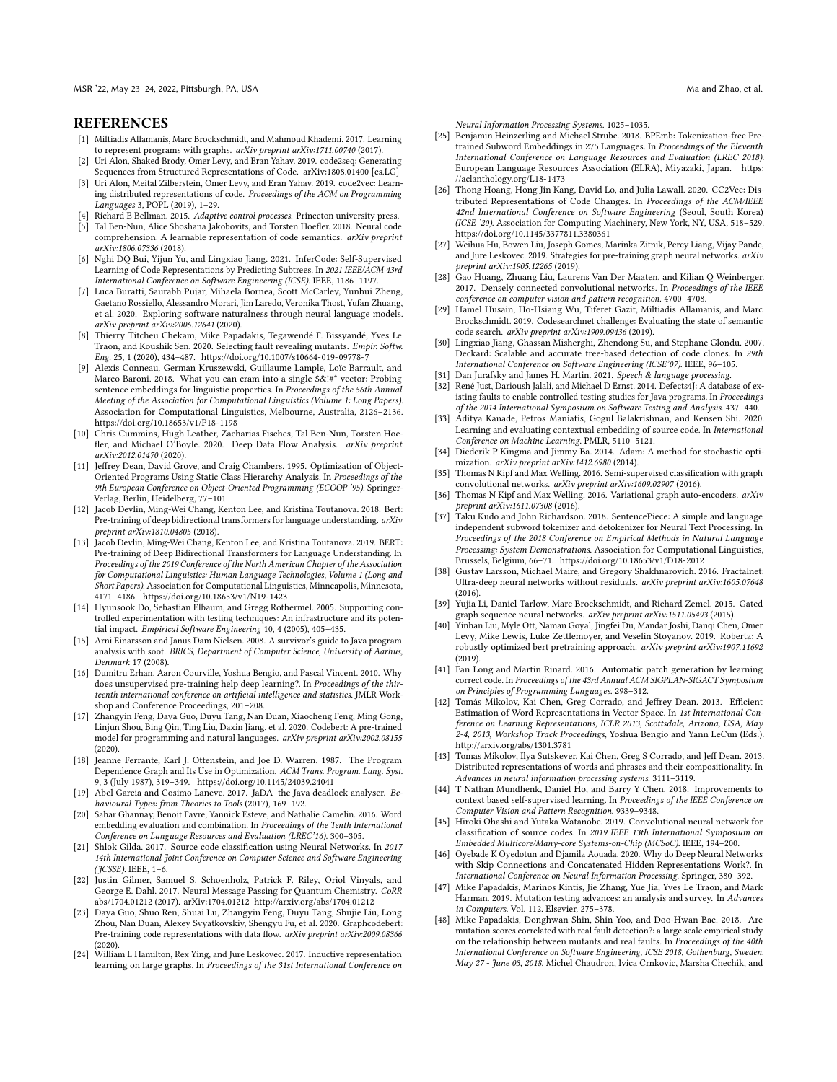MSR '22, May 23-24, 2022, Pittsburgh, PA, USA Ma and Zhao, et al. (2012) And and Zhao, et al. (2014) Ma and Zhao, et al.

#### **REFERENCES**

- <span id="page-11-2"></span>[1] Miltiadis Allamanis, Marc Brockschmidt, and Mahmoud Khademi. 2017. Learning to represent programs with graphs. arXiv preprint arXiv:1711.00740 (2017).
- <span id="page-11-12"></span>[2] Uri Alon, Shaked Brody, Omer Levy, and Eran Yahav. 2019. code2seq: Generating Sequences from Structured Representations of Code. arXiv[:1808.01400](https://arxiv.org/abs/1808.01400) [cs.LG]
- <span id="page-11-3"></span>[3] Uri Alon, Meital Zilberstein, Omer Levy, and Eran Yahav. 2019. code2vec: Learning distributed representations of code. Proceedings of the ACM on Programming Languages 3, POPL (2019), 1–29.
- <span id="page-11-0"></span>Richard E Bellman. 2015. Adaptive control processes. Princeton university press.
- <span id="page-11-4"></span>[5] Tal Ben-Nun, Alice Shoshana Jakobovits, and Torsten Hoefler. 2018. Neural code comprehension: A learnable representation of code semantics. arXiv preprint arXiv:1806.07336 (2018).
- <span id="page-11-13"></span>[6] Nghi DQ Bui, Yijun Yu, and Lingxiao Jiang. 2021. InferCode: Self-Supervised Learning of Code Representations by Predicting Subtrees. In 2021 IEEE/ACM 43rd International Conference on Software Engineering (ICSE). IEEE, 1186–1197.
- <span id="page-11-5"></span>[7] Luca Buratti, Saurabh Pujar, Mihaela Bornea, Scott McCarley, Yunhui Zheng, Gaetano Rossiello, Alessandro Morari, Jim Laredo, Veronika Thost, Yufan Zhuang, et al. 2020. Exploring software naturalness through neural language models. arXiv preprint arXiv:2006.12641 (2020).
- <span id="page-11-43"></span>[8] Thierry Titcheu Chekam, Mike Papadakis, Tegawendé F. Bissyandé, Yves Le Traon, and Koushik Sen. 2020. Selecting fault revealing mutants. Empir. Softw. Eng. 25, 1 (2020), 434–487.<https://doi.org/10.1007/s10664-019-09778-7>
- <span id="page-11-46"></span>[9] Alexis Conneau, German Kruszewski, Guillaume Lample, Loïc Barrault, and Marco Baroni. 2018. What you can cram into a single \$&!#\* vector: Probing sentence embeddings for linguistic properties. In Proceedings of the 56th Annual Meeting of the Association for Computational Linguistics (Volume 1: Long Papers). Association for Computational Linguistics, Melbourne, Australia, 2126–2136. <https://doi.org/10.18653/v1/P18-1198>
- <span id="page-11-6"></span>[10] Chris Cummins, Hugh Leather, Zacharias Fisches, Tal Ben-Nun, Torsten Hoefler, and Michael O'Boyle. 2020. Deep Data Flow Analysis. arXiv preprint arXiv:2012.01470 (2020).
- <span id="page-11-22"></span>[11] Jeffrey Dean, David Grove, and Craig Chambers. 1995. Optimization of Object-Oriented Programs Using Static Class Hierarchy Analysis. In Proceedings of the 9th European Conference on Object-Oriented Programming (ECOOP '95). Springer-Verlag, Berlin, Heidelberg, 77–101.
- <span id="page-11-14"></span>[12] Jacob Devlin, Ming-Wei Chang, Kenton Lee, and Kristina Toutanova. 2018. Bert: Pre-training of deep bidirectional transformers for language understanding. arXiv preprint arXiv:1810.04805 (2018).
- <span id="page-11-24"></span>[13] Jacob Devlin, Ming-Wei Chang, Kenton Lee, and Kristina Toutanova. 2019. BERT: Pre-training of Deep Bidirectional Transformers for Language Understanding. In Proceedings of the 2019 Conference of the North American Chapter of the Association for Computational Linguistics: Human Language Technologies, Volume 1 (Long and Short Papers). Association for Computational Linguistics, Minneapolis, Minnesota, 4171–4186.<https://doi.org/10.18653/v1/N19-1423>
- <span id="page-11-40"></span>[14] Hyunsook Do, Sebastian Elbaum, and Gregg Rothermel. 2005. Supporting controlled experimentation with testing techniques: An infrastructure and its potential impact. Empirical Software Engineering 10, 4 (2005), 405–435.
- <span id="page-11-19"></span>[15] Arni Einarsson and Janus Dam Nielsen. 2008. A survivor's guide to Java program analysis with soot. BRICS, Department of Computer Science, University of Aarhus, Denmark 17 (2008).
- <span id="page-11-34"></span>[16] Dumitru Erhan, Aaron Courville, Yoshua Bengio, and Pascal Vincent. 2010. Why does unsupervised pre-training help deep learning?. In Proceedings of the thirteenth international conference on artificial intelligence and statistics. JMLR Workshop and Conference Proceedings, 201–208.
- <span id="page-11-7"></span>[17] Zhangyin Feng, Daya Guo, Duyu Tang, Nan Duan, Xiaocheng Feng, Ming Gong, Linjun Shou, Bing Qin, Ting Liu, Daxin Jiang, et al. 2020. Codebert: A pre-trained model for programming and natural languages. arXiv preprint arXiv:2002.08155 (2020).
- <span id="page-11-21"></span>[18] Jeanne Ferrante, Karl J. Ottenstein, and Joe D. Warren. 1987. The Program Dependence Graph and Its Use in Optimization. ACM Trans. Program. Lang. Syst. 9, 3 (July 1987), 319–349.<https://doi.org/10.1145/24039.24041>
- <span id="page-11-41"></span>[19] Abel Garcia and Cosimo Laneve. 2017. JaDA–the Java deadlock analyser. Behavioural Types: from Theories to Tools (2017), 169–192.
- <span id="page-11-30"></span>[20] Sahar Ghannay, Benoit Favre, Yannick Esteve, and Nathalie Camelin. 2016. Word embedding evaluation and combination. In Proceedings of the Tenth International Conference on Language Resources and Evaluation (LREC'16). 300–305.
- <span id="page-11-17"></span>[21] Shlok Gilda. 2017. Source code classification using Neural Networks. In 2017 14th International Joint Conference on Computer Science and Software Engineering (JCSSE). IEEE, 1–6.
- <span id="page-11-16"></span>[22] Justin Gilmer, Samuel S. Schoenholz, Patrick F. Riley, Oriol Vinyals, and George E. Dahl. 2017. Neural Message Passing for Quantum Chemistry. CoRR abs/1704.01212 (2017). arXiv[:1704.01212](https://arxiv.org/abs/1704.01212)<http://arxiv.org/abs/1704.01212>
- <span id="page-11-8"></span>[23] Daya Guo, Shuo Ren, Shuai Lu, Zhangyin Feng, Duyu Tang, Shujie Liu, Long Zhou, Nan Duan, Alexey Svyatkovskiy, Shengyu Fu, et al. 2020. Graphcodebert: Pre-training code representations with data flow. arXiv preprint arXiv:2009.08366
- <span id="page-11-28"></span>(2020). [24] William L Hamilton, Rex Ying, and Jure Leskovec. 2017. Inductive representation learning on large graphs. In Proceedings of the 31st International Conference on

Neural Information Processing Systems. 1025–1035.

- <span id="page-11-25"></span>[25] Benjamin Heinzerling and Michael Strube. 2018. BPEmb: Tokenization-free Pretrained Subword Embeddings in 275 Languages. In Proceedings of the Eleventh International Conference on Language Resources and Evaluation (LREC 2018). European Language Resources Association (ELRA), Miyazaki, Japan. [https:](https://aclanthology.org/L18-1473) [//aclanthology.org/L18-1473](https://aclanthology.org/L18-1473)
- <span id="page-11-9"></span>[26] Thong Hoang, Hong Jin Kang, David Lo, and Julia Lawall. 2020. CC2Vec: Distributed Representations of Code Changes. In Proceedings of the ACM/IEEE 42nd International Conference on Software Engineering (Seoul, South Korea) (ICSE '20). Association for Computing Machinery, New York, NY, USA, 518–529. <https://doi.org/10.1145/3377811.3380361>
- <span id="page-11-37"></span>[27] Weihua Hu, Bowen Liu, Joseph Gomes, Marinka Zitnik, Percy Liang, Vijay Pande, and Jure Leskovec. 2019. Strategies for pre-training graph neural networks. arXiv preprint arXiv:1905.12265 (2019).
- <span id="page-11-31"></span>[28] Gao Huang, Zhuang Liu, Laurens Van Der Maaten, and Kilian Q Weinberger. 2017. Densely connected convolutional networks. In Proceedings of the IEEE conference on computer vision and pattern recognition. 4700–4708.
- <span id="page-11-47"></span>[29] Hamel Husain, Ho-Hsiang Wu, Tiferet Gazit, Miltiadis Allamanis, and Marc Brockschmidt. 2019. Codesearchnet challenge: Evaluating the state of semantic code search. arXiv preprint arXiv:1909.09436 (2019).
- <span id="page-11-1"></span>[30] Lingxiao Jiang, Ghassan Misherghi, Zhendong Su, and Stephane Glondu. 2007. Deckard: Scalable and accurate tree-based detection of code clones. In 29th International Conference on Software Engineering (ICSE'07). IEEE, 96–105.
- <span id="page-11-26"></span>[31] Dan Jurafsky and James H. Martin. 2021. Speech & language processing.
- <span id="page-11-39"></span>[32] René Just, Darioush Jalali, and Michael D Ernst. 2014. Defects4J: A database of existing faults to enable controlled testing studies for Java programs. In Proceedings of the 2014 International Symposium on Software Testing and Analysis. 437–440.
- <span id="page-11-10"></span>[33] Aditya Kanade, Petros Maniatis, Gogul Balakrishnan, and Kensen Shi. 2020. Learning and evaluating contextual embedding of source code. In International Conference on Machine Learning. PMLR, 5110–5121.
- <span id="page-11-45"></span>[34] Diederik P Kingma and Jimmy Ba. 2014. Adam: A method for stochastic optimization. arXiv preprint arXiv:1412.6980 (2014).
- <span id="page-11-27"></span>[35] Thomas N Kipf and Max Welling. 2016. Semi-supervised classification with graph convolutional networks. arXiv preprint arXiv:1609.02907 (2016).
- <span id="page-11-38"></span>[36] Thomas N Kipf and Max Welling. 2016. Variational graph auto-encoders. arXiv preprint arXiv:1611.07308 (2016).
- <span id="page-11-23"></span>[37] Taku Kudo and John Richardson. 2018. SentencePiece: A simple and language independent subword tokenizer and detokenizer for Neural Text Processing. In Proceedings of the 2018 Conference on Empirical Methods in Natural Language Processing: System Demonstrations. Association for Computational Linguistics, Brussels, Belgium, 66–71.<https://doi.org/10.18653/v1/D18-2012>
- <span id="page-11-32"></span>[38] Gustav Larsson, Michael Maire, and Gregory Shakhnarovich. 2016. Fractalnet: Ultra-deep neural networks without residuals. arXiv preprint arXiv:1605.07648  $(2016)$
- <span id="page-11-29"></span>[39] Yujia Li, Daniel Tarlow, Marc Brockschmidt, and Richard Zemel. 2015. Gated graph sequence neural networks. arXiv preprint arXiv:1511.05493 (2015).
- <span id="page-11-35"></span>[40] Yinhan Liu, Myle Ott, Naman Goyal, Jingfei Du, Mandar Joshi, Danqi Chen, Omer Levy, Mike Lewis, Luke Zettlemoyer, and Veselin Stoyanov. 2019. Roberta: A robustly optimized bert pretraining approach. arXiv preprint arXiv:1907.11692 (2019).
- <span id="page-11-18"></span>[41] Fan Long and Martin Rinard. 2016. Automatic patch generation by learning correct code. In Proceedings of the 43rd Annual ACM SIGPLAN-SIGACT Symposium on Principles of Programming Languages. 298–312.
- <span id="page-11-20"></span>[42] Tomás Mikolov, Kai Chen, Greg Corrado, and Jeffrey Dean. 2013. Efficient Estimation of Word Representations in Vector Space. In 1st International Conference on Learning Representations, ICLR 2013, Scottsdale, Arizona, USA, May 2-4, 2013, Workshop Track Proceedings, Yoshua Bengio and Yann LeCun (Eds.). <http://arxiv.org/abs/1301.3781>
- <span id="page-11-15"></span>[43] Tomas Mikolov, Ilya Sutskever, Kai Chen, Greg S Corrado, and Jeff Dean. 2013. Distributed representations of words and phrases and their compositionality. In Advances in neural information processing systems. 3111–3119.
- <span id="page-11-36"></span>[44] T Nathan Mundhenk, Daniel Ho, and Barry Y Chen. 2018. Improvements to context based self-supervised learning. In Proceedings of the IEEE Conference on Computer Vision and Pattern Recognition. 9339–9348.
- <span id="page-11-11"></span>[45] Hiroki Ohashi and Yutaka Watanobe. 2019. Convolutional neural network for classification of source codes. In 2019 IEEE 13th International Symposium on Embedded Multicore/Many-core Systems-on-Chip (MCSoC). IEEE, 194–200.
- <span id="page-11-33"></span>[46] Oyebade K Oyedotun and Djamila Aouada. 2020. Why do Deep Neural Networks with Skip Connections and Concatenated Hidden Representations Work?. In International Conference on Neural Information Processing. Springer, 380–392.
- <span id="page-11-42"></span>[47] Mike Papadakis, Marinos Kintis, Jie Zhang, Yue Jia, Yves Le Traon, and Mark Harman. 2019. Mutation testing advances: an analysis and survey. In Advances in Computers. Vol. 112. Elsevier, 275–378.
- <span id="page-11-44"></span>[48] Mike Papadakis, Donghwan Shin, Shin Yoo, and Doo-Hwan Bae. 2018. Are mutation scores correlated with real fault detection?: a large scale empirical study on the relationship between mutants and real faults. In Proceedings of the 40th International Conference on Software Engineering, ICSE 2018, Gothenburg, Sweden, May 27 - June 03, 2018, Michel Chaudron, Ivica Crnkovic, Marsha Chechik, and